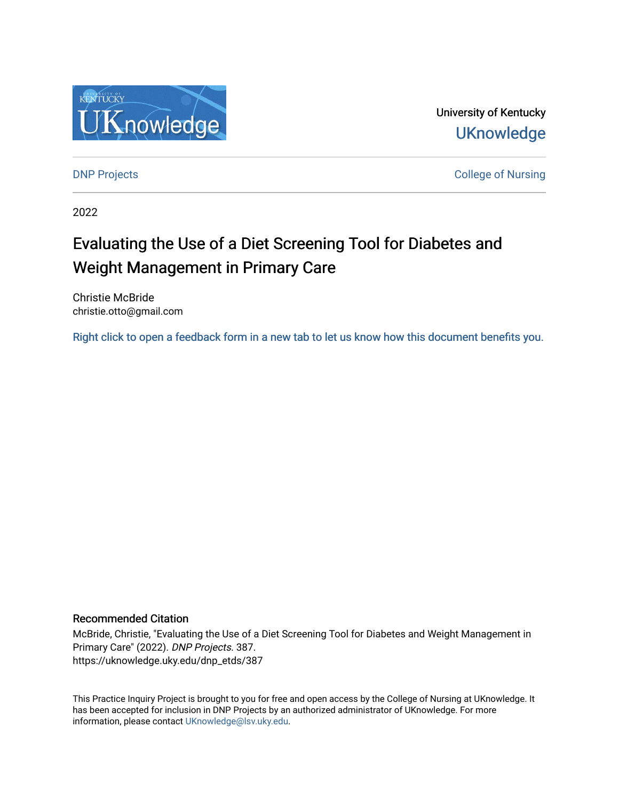

University of Kentucky **UKnowledge** 

[DNP Projects](https://uknowledge.uky.edu/dnp_etds) **College of Nursing** 

2022

# Evaluating the Use of a Diet Screening Tool for Diabetes and Weight Management in Primary Care

Christie McBride christie.otto@gmail.com

[Right click to open a feedback form in a new tab to let us know how this document benefits you.](https://uky.az1.qualtrics.com/jfe/form/SV_9mq8fx2GnONRfz7)

### Recommended Citation

McBride, Christie, "Evaluating the Use of a Diet Screening Tool for Diabetes and Weight Management in Primary Care" (2022). DNP Projects. 387. https://uknowledge.uky.edu/dnp\_etds/387

This Practice Inquiry Project is brought to you for free and open access by the College of Nursing at UKnowledge. It has been accepted for inclusion in DNP Projects by an authorized administrator of UKnowledge. For more information, please contact [UKnowledge@lsv.uky.edu](mailto:UKnowledge@lsv.uky.edu).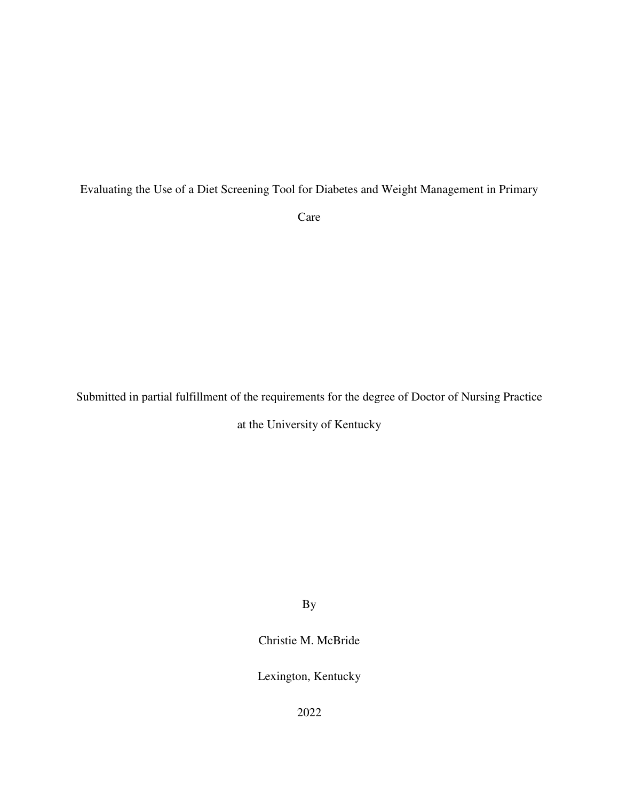# Evaluating the Use of a Diet Screening Tool for Diabetes and Weight Management in Primary

Care

Submitted in partial fulfillment of the requirements for the degree of Doctor of Nursing Practice

at the University of Kentucky

By

Christie M. McBride

Lexington, Kentucky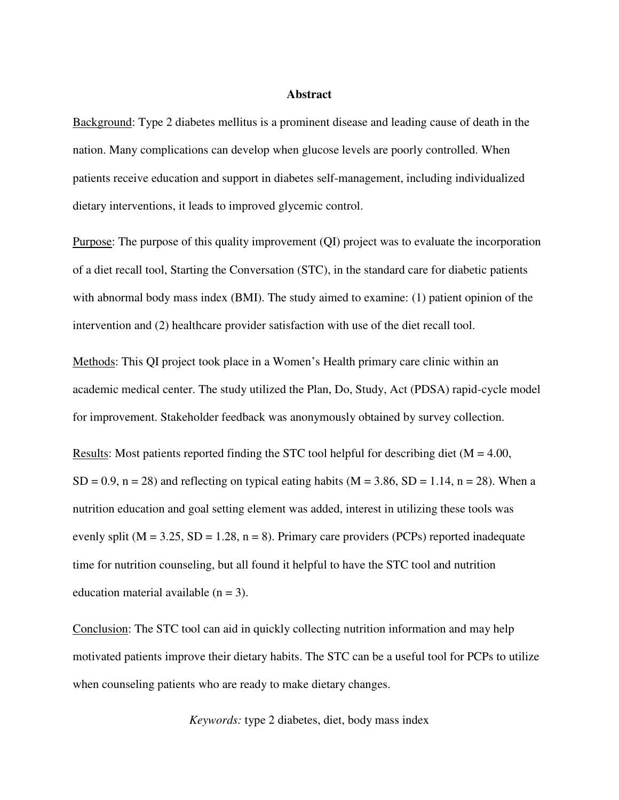### **Abstract**

Background: Type 2 diabetes mellitus is a prominent disease and leading cause of death in the nation. Many complications can develop when glucose levels are poorly controlled. When patients receive education and support in diabetes self-management, including individualized dietary interventions, it leads to improved glycemic control.

Purpose: The purpose of this quality improvement (QI) project was to evaluate the incorporation of a diet recall tool, Starting the Conversation (STC), in the standard care for diabetic patients with abnormal body mass index (BMI). The study aimed to examine: (1) patient opinion of the intervention and (2) healthcare provider satisfaction with use of the diet recall tool.

Methods: This QI project took place in a Women's Health primary care clinic within an academic medical center. The study utilized the Plan, Do, Study, Act (PDSA) rapid-cycle model for improvement. Stakeholder feedback was anonymously obtained by survey collection.

Results: Most patients reported finding the STC tool helpful for describing diet ( $M = 4.00$ ,  $SD = 0.9$ ,  $n = 28$ ) and reflecting on typical eating habits (M = 3.86, SD = 1.14, n = 28). When a nutrition education and goal setting element was added, interest in utilizing these tools was evenly split ( $M = 3.25$ ,  $SD = 1.28$ ,  $n = 8$ ). Primary care providers (PCPs) reported inadequate time for nutrition counseling, but all found it helpful to have the STC tool and nutrition education material available  $(n = 3)$ .

Conclusion: The STC tool can aid in quickly collecting nutrition information and may help motivated patients improve their dietary habits. The STC can be a useful tool for PCPs to utilize when counseling patients who are ready to make dietary changes.

 *Keywords:* type 2 diabetes, diet, body mass index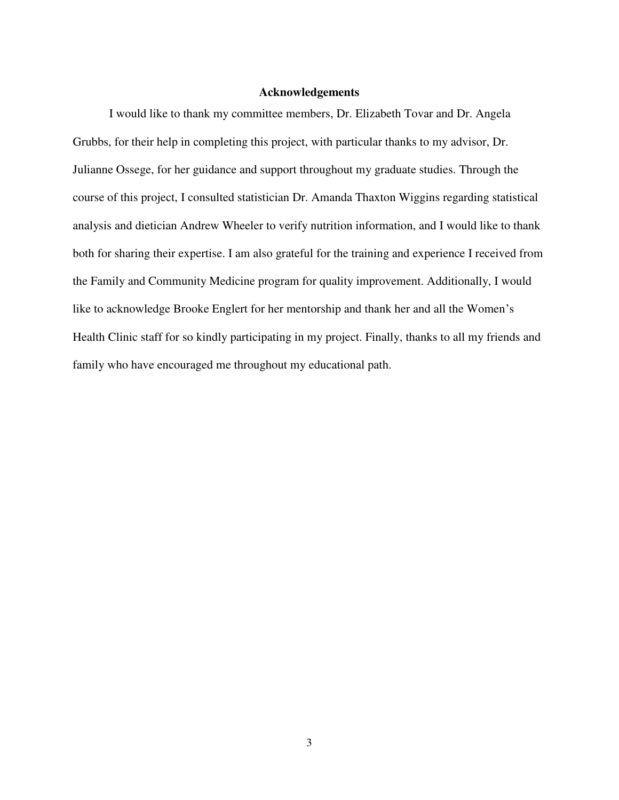### **Acknowledgements**

<span id="page-3-0"></span> I would like to thank my committee members, Dr. Elizabeth Tovar and Dr. Angela Grubbs, for their help in completing this project, with particular thanks to my advisor, Dr. Julianne Ossege, for her guidance and support throughout my graduate studies. Through the course of this project, I consulted statistician Dr. Amanda Thaxton Wiggins regarding statistical analysis and dietician Andrew Wheeler to verify nutrition information, and I would like to thank both for sharing their expertise. I am also grateful for the training and experience I received from the Family and Community Medicine program for quality improvement. Additionally, I would like to acknowledge Brooke Englert for her mentorship and thank her and all the Women's Health Clinic staff for so kindly participating in my project. Finally, thanks to all my friends and family who have encouraged me throughout my educational path.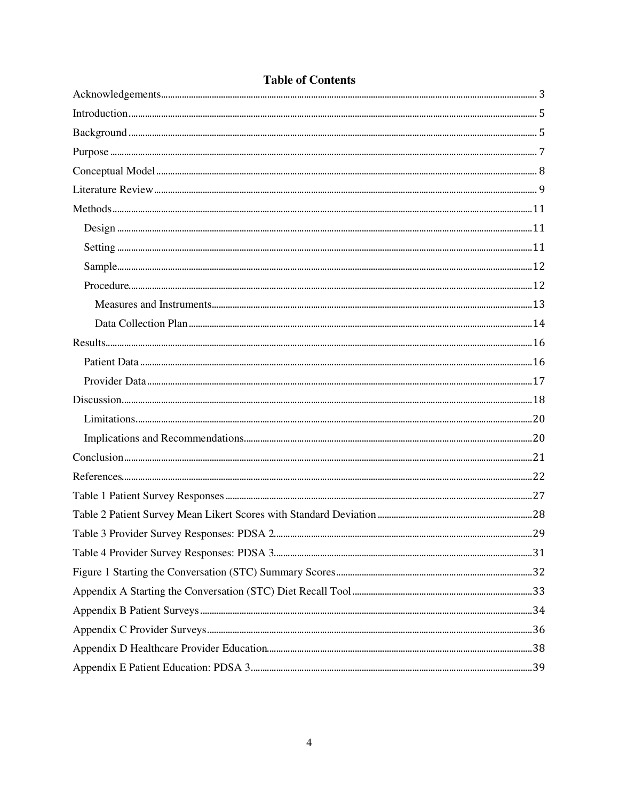# **Table of Contents**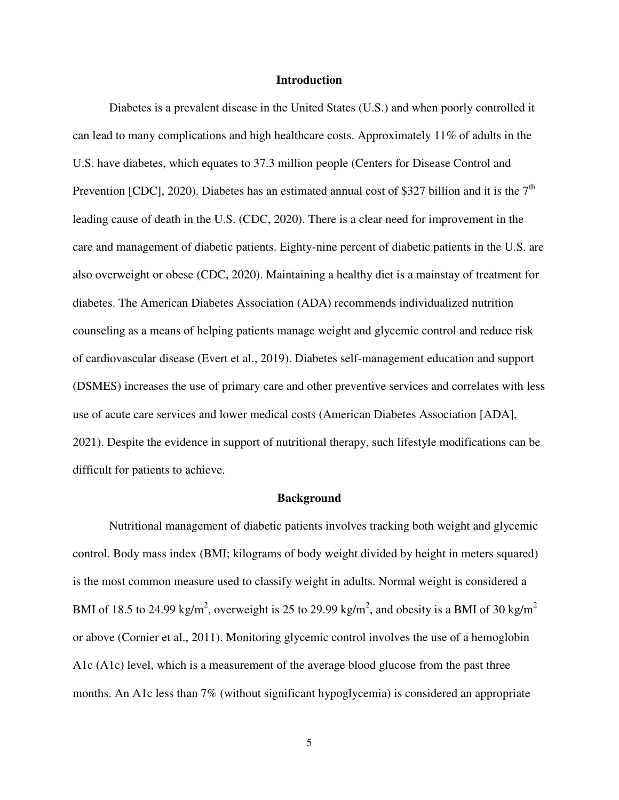#### **Introduction**

<span id="page-5-0"></span>Diabetes is a prevalent disease in the United States (U.S.) and when poorly controlled it can lead to many complications and high healthcare costs. Approximately 11% of adults in the U.S. have diabetes, which equates to 37.3 million people (Centers for Disease Control and Prevention [CDC], 2020). Diabetes has an estimated annual cost of \$327 billion and it is the  $7<sup>th</sup>$ leading cause of death in the U.S. (CDC, 2020). There is a clear need for improvement in the care and management of diabetic patients. Eighty-nine percent of diabetic patients in the U.S. are also overweight or obese (CDC, 2020). Maintaining a healthy diet is a mainstay of treatment for diabetes. The American Diabetes Association (ADA) recommends individualized nutrition counseling as a means of helping patients manage weight and glycemic control and reduce risk of cardiovascular disease (Evert et al., 2019). Diabetes self-management education and support (DSMES) increases the use of primary care and other preventive services and correlates with less use of acute care services and lower medical costs (American Diabetes Association [ADA], 2021). Despite the evidence in support of nutritional therapy, such lifestyle modifications can be difficult for patients to achieve.

#### **Background**

<span id="page-5-1"></span>Nutritional management of diabetic patients involves tracking both weight and glycemic control. Body mass index (BMI; kilograms of body weight divided by height in meters squared) is the most common measure used to classify weight in adults. Normal weight is considered a BMI of 18.5 to 24.99 kg/m<sup>2</sup>, overweight is 25 to 29.99 kg/m<sup>2</sup>, and obesity is a BMI of 30 kg/m<sup>2</sup> or above (Cornier et al., 2011). Monitoring glycemic control involves the use of a hemoglobin A1c (A1c) level, which is a measurement of the average blood glucose from the past three months. An A1c less than 7% (without significant hypoglycemia) is considered an appropriate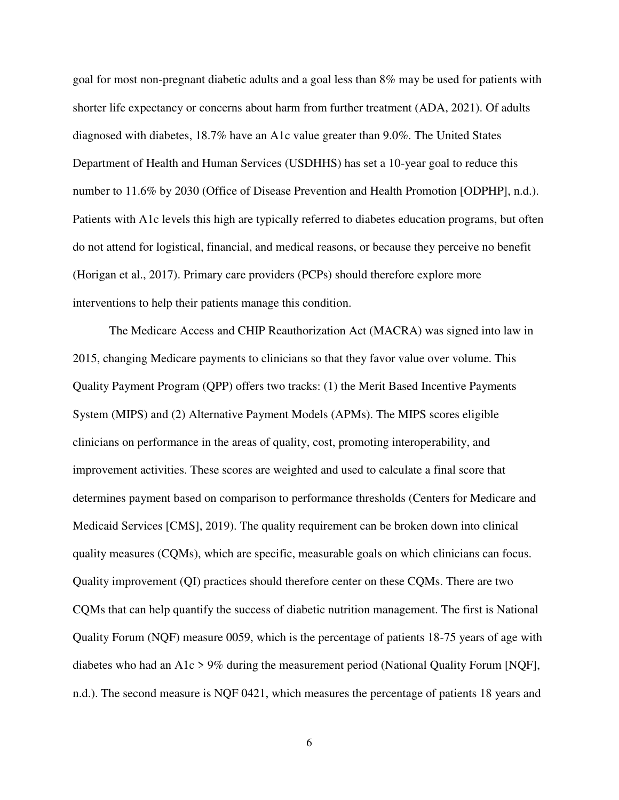goal for most non-pregnant diabetic adults and a goal less than 8% may be used for patients with shorter life expectancy or concerns about harm from further treatment (ADA, 2021). Of adults diagnosed with diabetes, 18.7% have an A1c value greater than 9.0%. The United States Department of Health and Human Services (USDHHS) has set a 10-year goal to reduce this number to 11.6% by 2030 (Office of Disease Prevention and Health Promotion [ODPHP], n.d.). Patients with A1c levels this high are typically referred to diabetes education programs, but often do not attend for logistical, financial, and medical reasons, or because they perceive no benefit (Horigan et al., 2017). Primary care providers (PCPs) should therefore explore more interventions to help their patients manage this condition.

 The Medicare Access and CHIP Reauthorization Act (MACRA) was signed into law in 2015, changing Medicare payments to clinicians so that they favor value over volume. This Quality Payment Program (QPP) offers two tracks: (1) the Merit Based Incentive Payments System (MIPS) and (2) Alternative Payment Models (APMs). The MIPS scores eligible clinicians on performance in the areas of quality, cost, promoting interoperability, and improvement activities. These scores are weighted and used to calculate a final score that determines payment based on comparison to performance thresholds (Centers for Medicare and Medicaid Services [CMS], 2019). The quality requirement can be broken down into clinical quality measures (CQMs), which are specific, measurable goals on which clinicians can focus. Quality improvement (QI) practices should therefore center on these CQMs. There are two CQMs that can help quantify the success of diabetic nutrition management. The first is National Quality Forum (NQF) measure 0059, which is the percentage of patients 18-75 years of age with diabetes who had an A1c > 9% during the measurement period (National Quality Forum [NQF], n.d.). The second measure is NQF 0421, which measures the percentage of patients 18 years and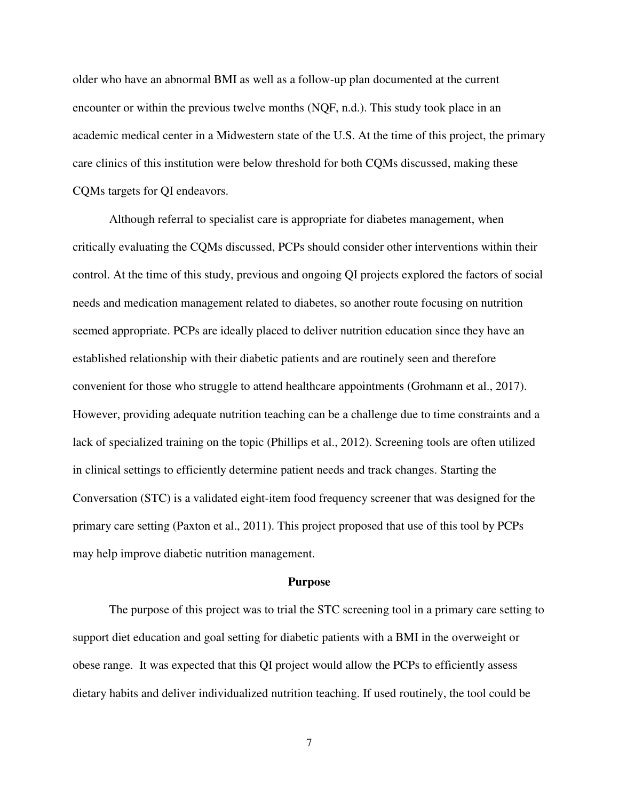older who have an abnormal BMI as well as a follow-up plan documented at the current encounter or within the previous twelve months (NQF, n.d.). This study took place in an academic medical center in a Midwestern state of the U.S. At the time of this project, the primary care clinics of this institution were below threshold for both CQMs discussed, making these CQMs targets for QI endeavors.

Although referral to specialist care is appropriate for diabetes management, when critically evaluating the CQMs discussed, PCPs should consider other interventions within their control. At the time of this study, previous and ongoing QI projects explored the factors of social needs and medication management related to diabetes, so another route focusing on nutrition seemed appropriate. PCPs are ideally placed to deliver nutrition education since they have an established relationship with their diabetic patients and are routinely seen and therefore convenient for those who struggle to attend healthcare appointments (Grohmann et al., 2017). However, providing adequate nutrition teaching can be a challenge due to time constraints and a lack of specialized training on the topic (Phillips et al., 2012). Screening tools are often utilized in clinical settings to efficiently determine patient needs and track changes. Starting the Conversation (STC) is a validated eight-item food frequency screener that was designed for the primary care setting (Paxton et al., 2011). This project proposed that use of this tool by PCPs may help improve diabetic nutrition management.

#### **Purpose**

<span id="page-7-0"></span>The purpose of this project was to trial the STC screening tool in a primary care setting to support diet education and goal setting for diabetic patients with a BMI in the overweight or obese range. It was expected that this QI project would allow the PCPs to efficiently assess dietary habits and deliver individualized nutrition teaching. If used routinely, the tool could be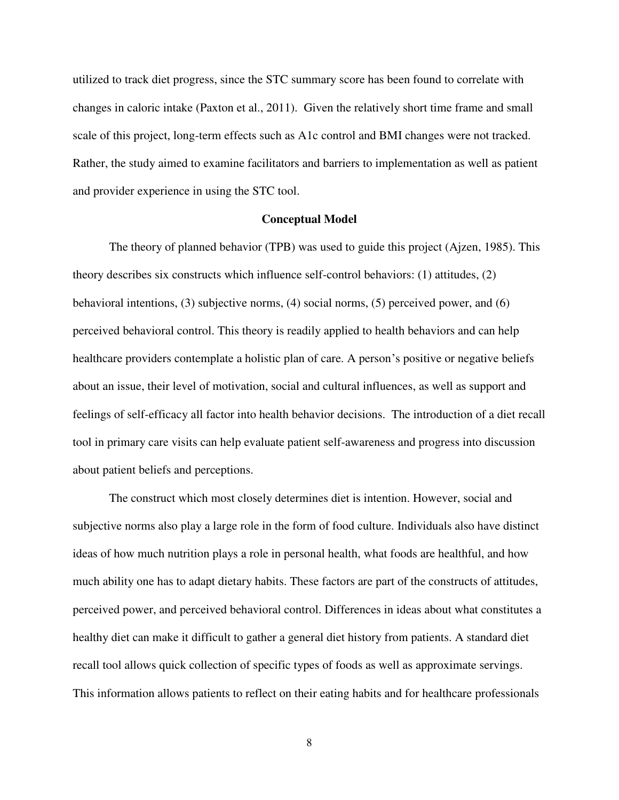utilized to track diet progress, since the STC summary score has been found to correlate with changes in caloric intake (Paxton et al., 2011). Given the relatively short time frame and small scale of this project, long-term effects such as A1c control and BMI changes were not tracked. Rather, the study aimed to examine facilitators and barriers to implementation as well as patient and provider experience in using the STC tool.

#### **Conceptual Model**

<span id="page-8-0"></span>The theory of planned behavior (TPB) was used to guide this project (Ajzen, 1985). This theory describes six constructs which influence self-control behaviors: (1) attitudes, (2) behavioral intentions, (3) subjective norms, (4) social norms, (5) perceived power, and (6) perceived behavioral control. This theory is readily applied to health behaviors and can help healthcare providers contemplate a holistic plan of care. A person's positive or negative beliefs about an issue, their level of motivation, social and cultural influences, as well as support and feelings of self-efficacy all factor into health behavior decisions. The introduction of a diet recall tool in primary care visits can help evaluate patient self-awareness and progress into discussion about patient beliefs and perceptions.

The construct which most closely determines diet is intention. However, social and subjective norms also play a large role in the form of food culture. Individuals also have distinct ideas of how much nutrition plays a role in personal health, what foods are healthful, and how much ability one has to adapt dietary habits. These factors are part of the constructs of attitudes, perceived power, and perceived behavioral control. Differences in ideas about what constitutes a healthy diet can make it difficult to gather a general diet history from patients. A standard diet recall tool allows quick collection of specific types of foods as well as approximate servings. This information allows patients to reflect on their eating habits and for healthcare professionals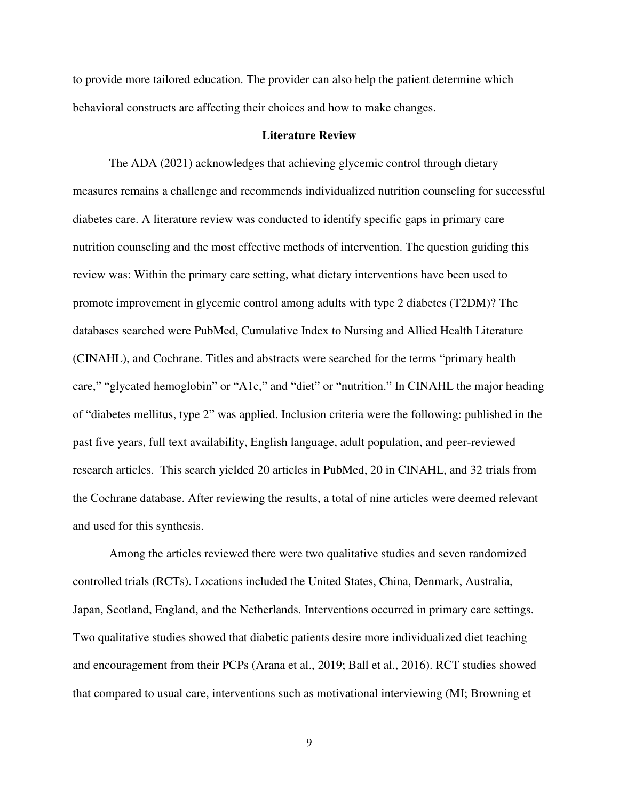to provide more tailored education. The provider can also help the patient determine which behavioral constructs are affecting their choices and how to make changes.

#### **Literature Review**

<span id="page-9-0"></span>The ADA (2021) acknowledges that achieving glycemic control through dietary measures remains a challenge and recommends individualized nutrition counseling for successful diabetes care. A literature review was conducted to identify specific gaps in primary care nutrition counseling and the most effective methods of intervention. The question guiding this review was: Within the primary care setting, what dietary interventions have been used to promote improvement in glycemic control among adults with type 2 diabetes (T2DM)? The databases searched were PubMed, Cumulative Index to Nursing and Allied Health Literature (CINAHL), and Cochrane. Titles and abstracts were searched for the terms "primary health care," "glycated hemoglobin" or "A1c," and "diet" or "nutrition." In CINAHL the major heading of "diabetes mellitus, type 2" was applied. Inclusion criteria were the following: published in the past five years, full text availability, English language, adult population, and peer-reviewed research articles. This search yielded 20 articles in PubMed, 20 in CINAHL, and 32 trials from the Cochrane database. After reviewing the results, a total of nine articles were deemed relevant and used for this synthesis.

Among the articles reviewed there were two qualitative studies and seven randomized controlled trials (RCTs). Locations included the United States, China, Denmark, Australia, Japan, Scotland, England, and the Netherlands. Interventions occurred in primary care settings. Two qualitative studies showed that diabetic patients desire more individualized diet teaching and encouragement from their PCPs (Arana et al., 2019; Ball et al., 2016). RCT studies showed that compared to usual care, interventions such as motivational interviewing (MI; Browning et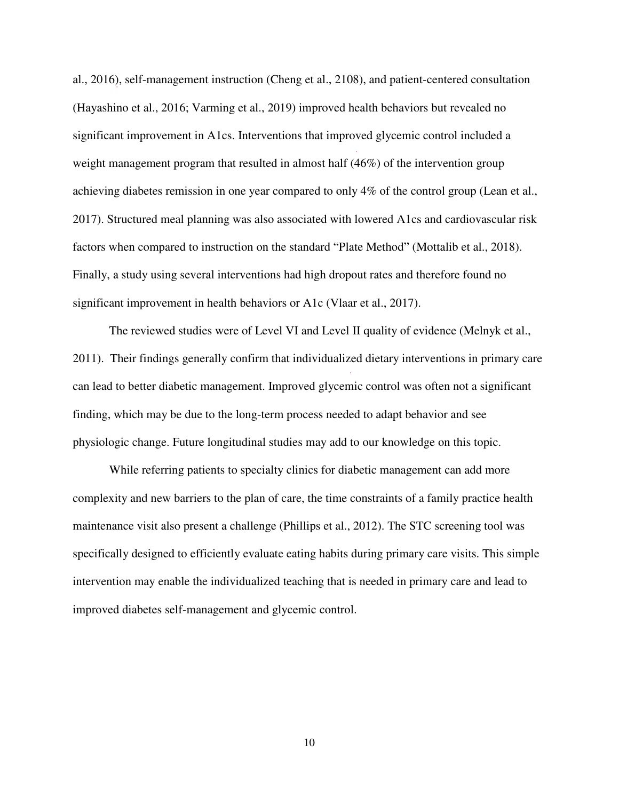al., 2016), self-management instruction (Cheng et al., 2108), and patient-centered consultation (Hayashino et al., 2016; Varming et al., 2019) improved health behaviors but revealed no significant improvement in A1cs. Interventions that improved glycemic control included a weight management program that resulted in almost half (46%) of the intervention group achieving diabetes remission in one year compared to only 4% of the control group (Lean et al., 2017). Structured meal planning was also associated with lowered A1cs and cardiovascular risk factors when compared to instruction on the standard "Plate Method" (Mottalib et al., 2018). Finally, a study using several interventions had high dropout rates and therefore found no significant improvement in health behaviors or A1c (Vlaar et al., 2017).

 The reviewed studies were of Level VI and Level II quality of evidence (Melnyk et al., 2011). Their findings generally confirm that individualized dietary interventions in primary care can lead to better diabetic management. Improved glycemic control was often not a significant finding, which may be due to the long-term process needed to adapt behavior and see physiologic change. Future longitudinal studies may add to our knowledge on this topic.

While referring patients to specialty clinics for diabetic management can add more complexity and new barriers to the plan of care, the time constraints of a family practice health maintenance visit also present a challenge (Phillips et al., 2012). The STC screening tool was specifically designed to efficiently evaluate eating habits during primary care visits. This simple intervention may enable the individualized teaching that is needed in primary care and lead to improved diabetes self-management and glycemic control.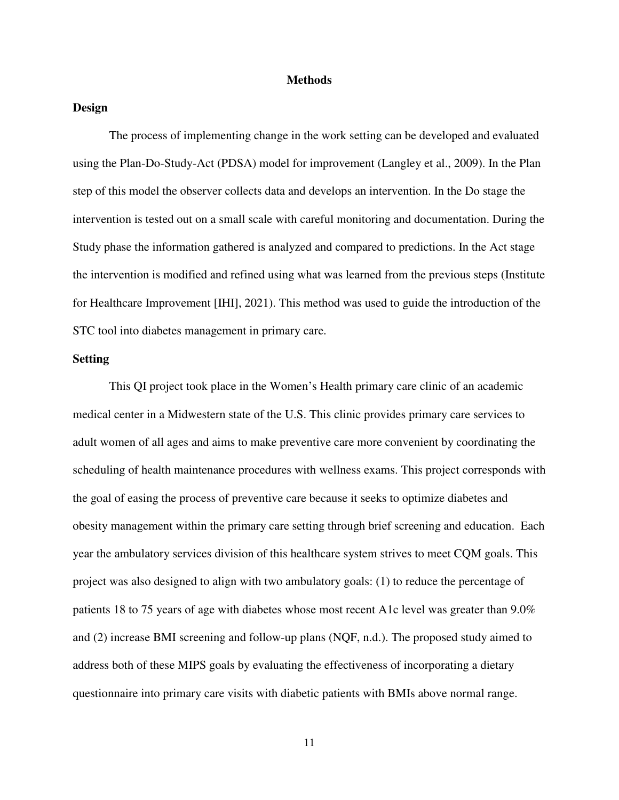#### **Methods**

### <span id="page-11-1"></span><span id="page-11-0"></span>**Design**

The process of implementing change in the work setting can be developed and evaluated using the Plan-Do-Study-Act (PDSA) model for improvement (Langley et al., 2009). In the Plan step of this model the observer collects data and develops an intervention. In the Do stage the intervention is tested out on a small scale with careful monitoring and documentation. During the Study phase the information gathered is analyzed and compared to predictions. In the Act stage the intervention is modified and refined using what was learned from the previous steps (Institute for Healthcare Improvement [IHI], 2021). This method was used to guide the introduction of the STC tool into diabetes management in primary care.

### <span id="page-11-2"></span>**Setting**

This QI project took place in the Women's Health primary care clinic of an academic medical center in a Midwestern state of the U.S. This clinic provides primary care services to adult women of all ages and aims to make preventive care more convenient by coordinating the scheduling of health maintenance procedures with wellness exams. This project corresponds with the goal of easing the process of preventive care because it seeks to optimize diabetes and obesity management within the primary care setting through brief screening and education. Each year the ambulatory services division of this healthcare system strives to meet CQM goals. This project was also designed to align with two ambulatory goals: (1) to reduce the percentage of patients 18 to 75 years of age with diabetes whose most recent A1c level was greater than 9.0% and (2) increase BMI screening and follow-up plans (NQF, n.d.). The proposed study aimed to address both of these MIPS goals by evaluating the effectiveness of incorporating a dietary questionnaire into primary care visits with diabetic patients with BMIs above normal range.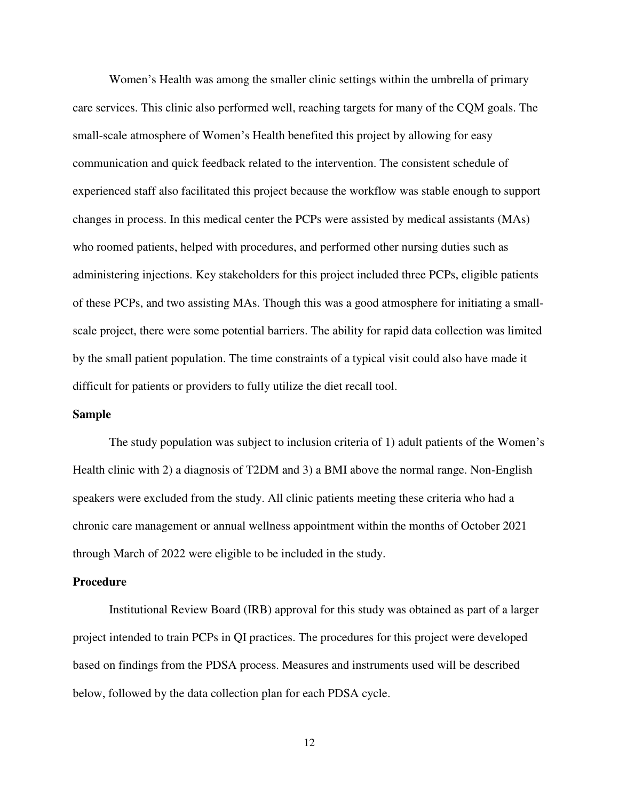Women's Health was among the smaller clinic settings within the umbrella of primary care services. This clinic also performed well, reaching targets for many of the CQM goals. The small-scale atmosphere of Women's Health benefited this project by allowing for easy communication and quick feedback related to the intervention. The consistent schedule of experienced staff also facilitated this project because the workflow was stable enough to support changes in process. In this medical center the PCPs were assisted by medical assistants (MAs) who roomed patients, helped with procedures, and performed other nursing duties such as administering injections. Key stakeholders for this project included three PCPs, eligible patients of these PCPs, and two assisting MAs. Though this was a good atmosphere for initiating a smallscale project, there were some potential barriers. The ability for rapid data collection was limited by the small patient population. The time constraints of a typical visit could also have made it difficult for patients or providers to fully utilize the diet recall tool.

#### <span id="page-12-0"></span>**Sample**

The study population was subject to inclusion criteria of 1) adult patients of the Women's Health clinic with 2) a diagnosis of T2DM and 3) a BMI above the normal range. Non-English speakers were excluded from the study. All clinic patients meeting these criteria who had a chronic care management or annual wellness appointment within the months of October 2021 through March of 2022 were eligible to be included in the study.

#### <span id="page-12-1"></span>**Procedure**

Institutional Review Board (IRB) approval for this study was obtained as part of a larger project intended to train PCPs in QI practices. The procedures for this project were developed based on findings from the PDSA process. Measures and instruments used will be described below, followed by the data collection plan for each PDSA cycle.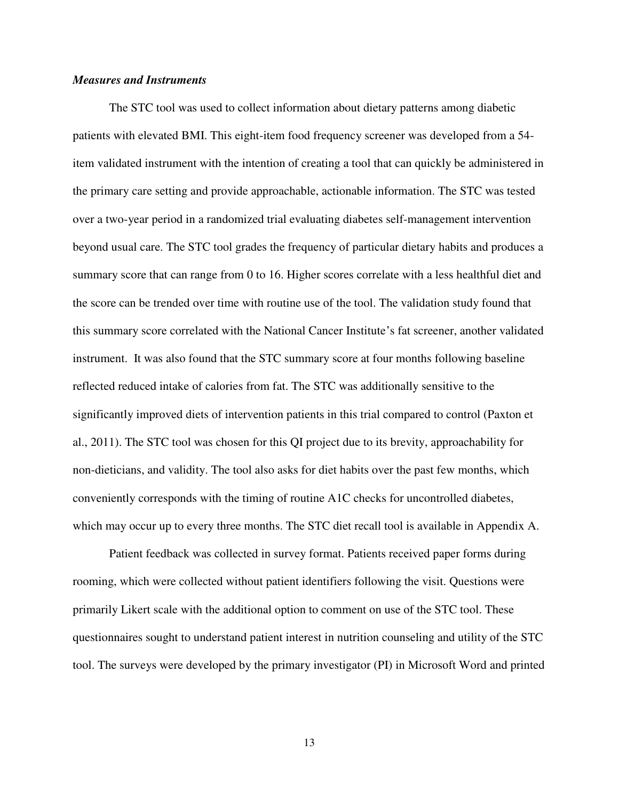### <span id="page-13-0"></span>*Measures and Instruments*

 The STC tool was used to collect information about dietary patterns among diabetic patients with elevated BMI. This eight-item food frequency screener was developed from a 54 item validated instrument with the intention of creating a tool that can quickly be administered in the primary care setting and provide approachable, actionable information. The STC was tested over a two-year period in a randomized trial evaluating diabetes self-management intervention beyond usual care. The STC tool grades the frequency of particular dietary habits and produces a summary score that can range from 0 to 16. Higher scores correlate with a less healthful diet and the score can be trended over time with routine use of the tool. The validation study found that this summary score correlated with the National Cancer Institute's fat screener, another validated instrument. It was also found that the STC summary score at four months following baseline reflected reduced intake of calories from fat. The STC was additionally sensitive to the significantly improved diets of intervention patients in this trial compared to control (Paxton et al., 2011). The STC tool was chosen for this QI project due to its brevity, approachability for non-dieticians, and validity. The tool also asks for diet habits over the past few months, which conveniently corresponds with the timing of routine A1C checks for uncontrolled diabetes, which may occur up to every three months. The STC diet recall tool is available in Appendix A.

 Patient feedback was collected in survey format. Patients received paper forms during rooming, which were collected without patient identifiers following the visit. Questions were primarily Likert scale with the additional option to comment on use of the STC tool. These questionnaires sought to understand patient interest in nutrition counseling and utility of the STC tool. The surveys were developed by the primary investigator (PI) in Microsoft Word and printed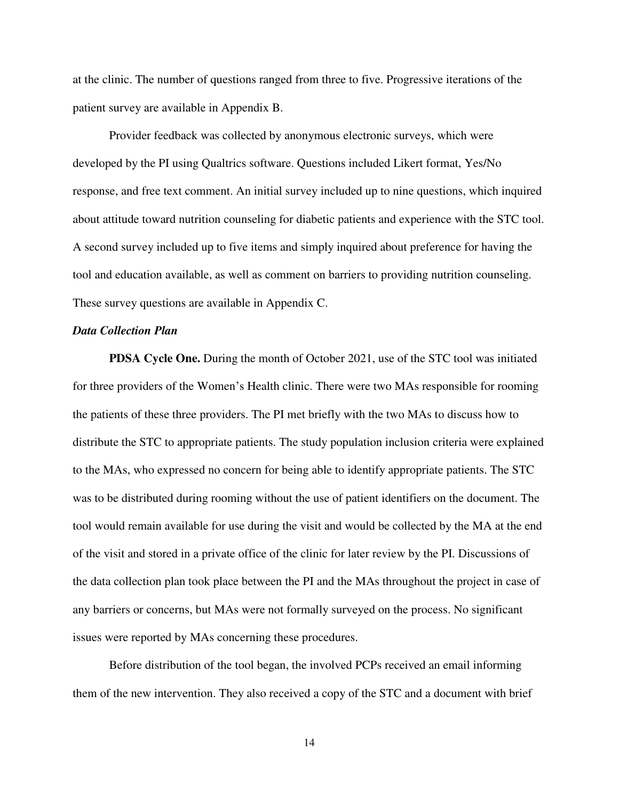at the clinic. The number of questions ranged from three to five. Progressive iterations of the patient survey are available in Appendix B.

Provider feedback was collected by anonymous electronic surveys, which were developed by the PI using Qualtrics software. Questions included Likert format, Yes/No response, and free text comment. An initial survey included up to nine questions, which inquired about attitude toward nutrition counseling for diabetic patients and experience with the STC tool. A second survey included up to five items and simply inquired about preference for having the tool and education available, as well as comment on barriers to providing nutrition counseling. These survey questions are available in Appendix C.

### <span id="page-14-0"></span>*Data Collection Plan*

**PDSA Cycle One.** During the month of October 2021, use of the STC tool was initiated for three providers of the Women's Health clinic. There were two MAs responsible for rooming the patients of these three providers. The PI met briefly with the two MAs to discuss how to distribute the STC to appropriate patients. The study population inclusion criteria were explained to the MAs, who expressed no concern for being able to identify appropriate patients. The STC was to be distributed during rooming without the use of patient identifiers on the document. The tool would remain available for use during the visit and would be collected by the MA at the end of the visit and stored in a private office of the clinic for later review by the PI. Discussions of the data collection plan took place between the PI and the MAs throughout the project in case of any barriers or concerns, but MAs were not formally surveyed on the process. No significant issues were reported by MAs concerning these procedures.

Before distribution of the tool began, the involved PCPs received an email informing them of the new intervention. They also received a copy of the STC and a document with brief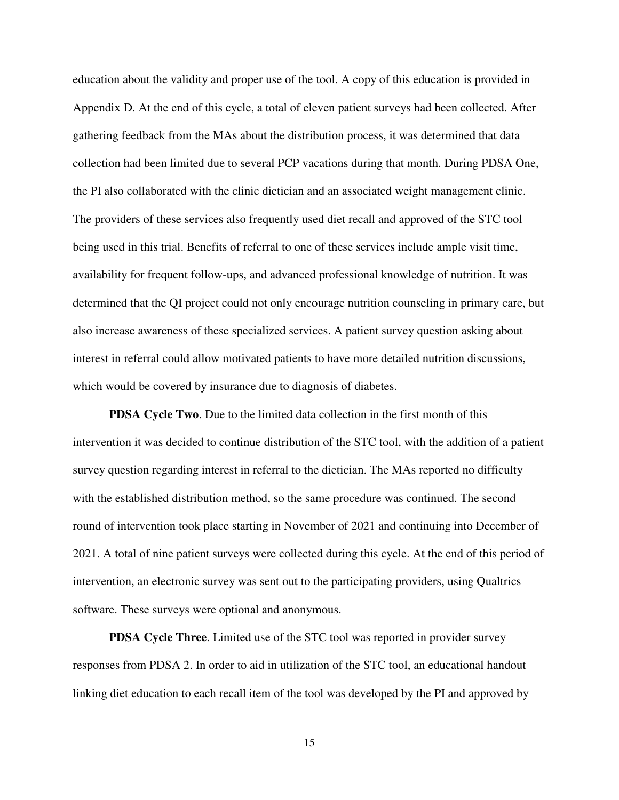education about the validity and proper use of the tool. A copy of this education is provided in Appendix D. At the end of this cycle, a total of eleven patient surveys had been collected. After gathering feedback from the MAs about the distribution process, it was determined that data collection had been limited due to several PCP vacations during that month. During PDSA One, the PI also collaborated with the clinic dietician and an associated weight management clinic. The providers of these services also frequently used diet recall and approved of the STC tool being used in this trial. Benefits of referral to one of these services include ample visit time, availability for frequent follow-ups, and advanced professional knowledge of nutrition. It was determined that the QI project could not only encourage nutrition counseling in primary care, but also increase awareness of these specialized services. A patient survey question asking about interest in referral could allow motivated patients to have more detailed nutrition discussions, which would be covered by insurance due to diagnosis of diabetes.

**PDSA Cycle Two**. Due to the limited data collection in the first month of this intervention it was decided to continue distribution of the STC tool, with the addition of a patient survey question regarding interest in referral to the dietician. The MAs reported no difficulty with the established distribution method, so the same procedure was continued. The second round of intervention took place starting in November of 2021 and continuing into December of 2021. A total of nine patient surveys were collected during this cycle. At the end of this period of intervention, an electronic survey was sent out to the participating providers, using Qualtrics software. These surveys were optional and anonymous.

**PDSA Cycle Three**. Limited use of the STC tool was reported in provider survey responses from PDSA 2. In order to aid in utilization of the STC tool, an educational handout linking diet education to each recall item of the tool was developed by the PI and approved by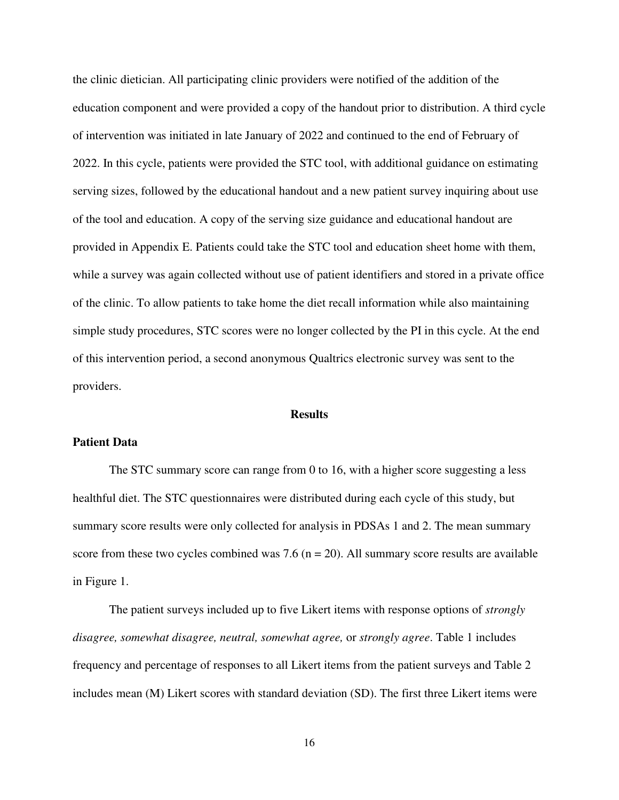the clinic dietician. All participating clinic providers were notified of the addition of the education component and were provided a copy of the handout prior to distribution. A third cycle of intervention was initiated in late January of 2022 and continued to the end of February of 2022. In this cycle, patients were provided the STC tool, with additional guidance on estimating serving sizes, followed by the educational handout and a new patient survey inquiring about use of the tool and education. A copy of the serving size guidance and educational handout are provided in Appendix E. Patients could take the STC tool and education sheet home with them, while a survey was again collected without use of patient identifiers and stored in a private office of the clinic. To allow patients to take home the diet recall information while also maintaining simple study procedures, STC scores were no longer collected by the PI in this cycle. At the end of this intervention period, a second anonymous Qualtrics electronic survey was sent to the providers.

#### **Results**

#### <span id="page-16-1"></span><span id="page-16-0"></span>**Patient Data**

The STC summary score can range from 0 to 16, with a higher score suggesting a less healthful diet. The STC questionnaires were distributed during each cycle of this study, but summary score results were only collected for analysis in PDSAs 1 and 2. The mean summary score from these two cycles combined was 7.6 ( $n = 20$ ). All summary score results are available in Figure 1.

The patient surveys included up to five Likert items with response options of *strongly disagree, somewhat disagree, neutral, somewhat agree,* or *strongly agree*. Table 1 includes frequency and percentage of responses to all Likert items from the patient surveys and Table 2 includes mean (M) Likert scores with standard deviation (SD). The first three Likert items were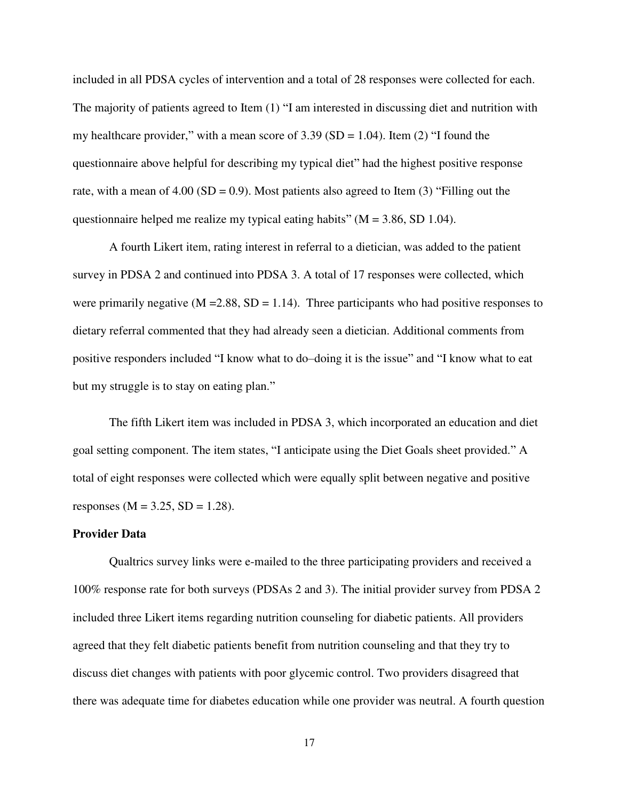included in all PDSA cycles of intervention and a total of 28 responses were collected for each. The majority of patients agreed to Item (1) "I am interested in discussing diet and nutrition with my healthcare provider," with a mean score of  $3.39$  (SD = 1.04). Item (2) "I found the questionnaire above helpful for describing my typical diet" had the highest positive response rate, with a mean of  $4.00$  (SD = 0.9). Most patients also agreed to Item (3) "Filling out the questionnaire helped me realize my typical eating habits" ( $M = 3.86$ , SD 1.04).

 A fourth Likert item, rating interest in referral to a dietician, was added to the patient survey in PDSA 2 and continued into PDSA 3. A total of 17 responses were collected, which were primarily negative  $(M = 2.88, SD = 1.14)$ . Three participants who had positive responses to dietary referral commented that they had already seen a dietician. Additional comments from positive responders included "I know what to do–doing it is the issue" and "I know what to eat but my struggle is to stay on eating plan."

 The fifth Likert item was included in PDSA 3, which incorporated an education and diet goal setting component. The item states, "I anticipate using the Diet Goals sheet provided." A total of eight responses were collected which were equally split between negative and positive responses ( $M = 3.25$ ,  $SD = 1.28$ ).

### <span id="page-17-0"></span>**Provider Data**

Qualtrics survey links were e-mailed to the three participating providers and received a 100% response rate for both surveys (PDSAs 2 and 3). The initial provider survey from PDSA 2 included three Likert items regarding nutrition counseling for diabetic patients. All providers agreed that they felt diabetic patients benefit from nutrition counseling and that they try to discuss diet changes with patients with poor glycemic control. Two providers disagreed that there was adequate time for diabetes education while one provider was neutral. A fourth question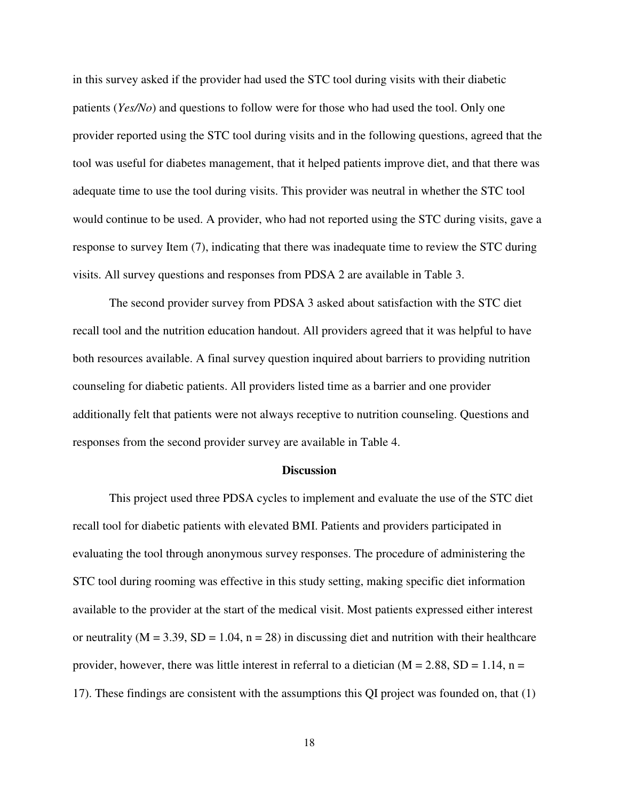in this survey asked if the provider had used the STC tool during visits with their diabetic patients (*Yes/No*) and questions to follow were for those who had used the tool. Only one provider reported using the STC tool during visits and in the following questions, agreed that the tool was useful for diabetes management, that it helped patients improve diet, and that there was adequate time to use the tool during visits. This provider was neutral in whether the STC tool would continue to be used. A provider, who had not reported using the STC during visits, gave a response to survey Item (7), indicating that there was inadequate time to review the STC during visits. All survey questions and responses from PDSA 2 are available in Table 3.

 The second provider survey from PDSA 3 asked about satisfaction with the STC diet recall tool and the nutrition education handout. All providers agreed that it was helpful to have both resources available. A final survey question inquired about barriers to providing nutrition counseling for diabetic patients. All providers listed time as a barrier and one provider additionally felt that patients were not always receptive to nutrition counseling. Questions and responses from the second provider survey are available in Table 4.

#### **Discussion**

<span id="page-18-0"></span>This project used three PDSA cycles to implement and evaluate the use of the STC diet recall tool for diabetic patients with elevated BMI. Patients and providers participated in evaluating the tool through anonymous survey responses. The procedure of administering the STC tool during rooming was effective in this study setting, making specific diet information available to the provider at the start of the medical visit. Most patients expressed either interest or neutrality ( $M = 3.39$ ,  $SD = 1.04$ ,  $n = 28$ ) in discussing diet and nutrition with their healthcare provider, however, there was little interest in referral to a dietician  $(M = 2.88, SD = 1.14, n =$ 17). These findings are consistent with the assumptions this QI project was founded on, that (1)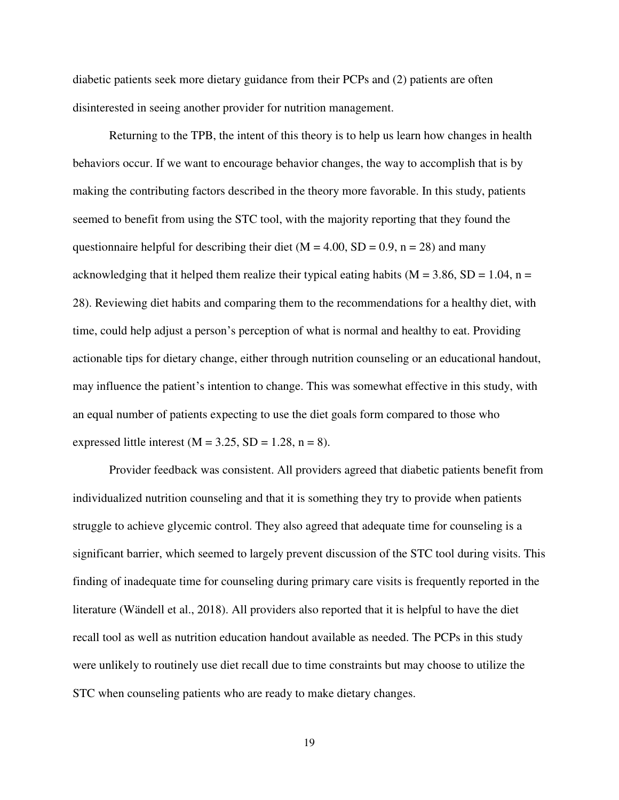diabetic patients seek more dietary guidance from their PCPs and (2) patients are often disinterested in seeing another provider for nutrition management.

 Returning to the TPB, the intent of this theory is to help us learn how changes in health behaviors occur. If we want to encourage behavior changes, the way to accomplish that is by making the contributing factors described in the theory more favorable. In this study, patients seemed to benefit from using the STC tool, with the majority reporting that they found the questionnaire helpful for describing their diet ( $M = 4.00$ ,  $SD = 0.9$ ,  $n = 28$ ) and many acknowledging that it helped them realize their typical eating habits ( $M = 3.86$ ,  $SD = 1.04$ , n = 28). Reviewing diet habits and comparing them to the recommendations for a healthy diet, with time, could help adjust a person's perception of what is normal and healthy to eat. Providing actionable tips for dietary change, either through nutrition counseling or an educational handout, may influence the patient's intention to change. This was somewhat effective in this study, with an equal number of patients expecting to use the diet goals form compared to those who expressed little interest ( $M = 3.25$ ,  $SD = 1.28$ ,  $n = 8$ ).

 Provider feedback was consistent. All providers agreed that diabetic patients benefit from individualized nutrition counseling and that it is something they try to provide when patients struggle to achieve glycemic control. They also agreed that adequate time for counseling is a significant barrier, which seemed to largely prevent discussion of the STC tool during visits. This finding of inadequate time for counseling during primary care visits is frequently reported in the literature (Wändell et al., 2018). All providers also reported that it is helpful to have the diet recall tool as well as nutrition education handout available as needed. The PCPs in this study were unlikely to routinely use diet recall due to time constraints but may choose to utilize the STC when counseling patients who are ready to make dietary changes.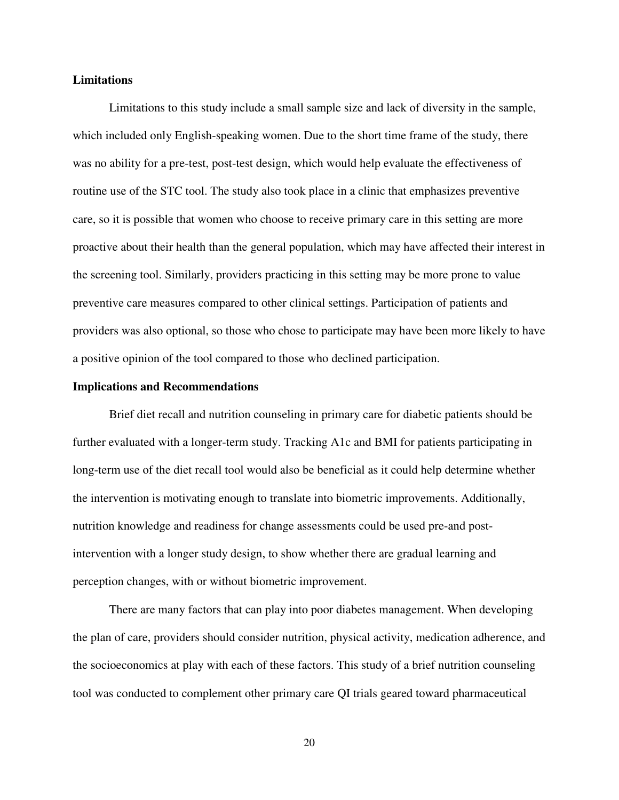#### <span id="page-20-0"></span>**Limitations**

Limitations to this study include a small sample size and lack of diversity in the sample, which included only English-speaking women. Due to the short time frame of the study, there was no ability for a pre-test, post-test design, which would help evaluate the effectiveness of routine use of the STC tool. The study also took place in a clinic that emphasizes preventive care, so it is possible that women who choose to receive primary care in this setting are more proactive about their health than the general population, which may have affected their interest in the screening tool. Similarly, providers practicing in this setting may be more prone to value preventive care measures compared to other clinical settings. Participation of patients and providers was also optional, so those who chose to participate may have been more likely to have a positive opinion of the tool compared to those who declined participation.

#### <span id="page-20-1"></span>**Implications and Recommendations**

 Brief diet recall and nutrition counseling in primary care for diabetic patients should be further evaluated with a longer-term study. Tracking A1c and BMI for patients participating in long-term use of the diet recall tool would also be beneficial as it could help determine whether the intervention is motivating enough to translate into biometric improvements. Additionally, nutrition knowledge and readiness for change assessments could be used pre-and postintervention with a longer study design, to show whether there are gradual learning and perception changes, with or without biometric improvement.

There are many factors that can play into poor diabetes management. When developing the plan of care, providers should consider nutrition, physical activity, medication adherence, and the socioeconomics at play with each of these factors. This study of a brief nutrition counseling tool was conducted to complement other primary care QI trials geared toward pharmaceutical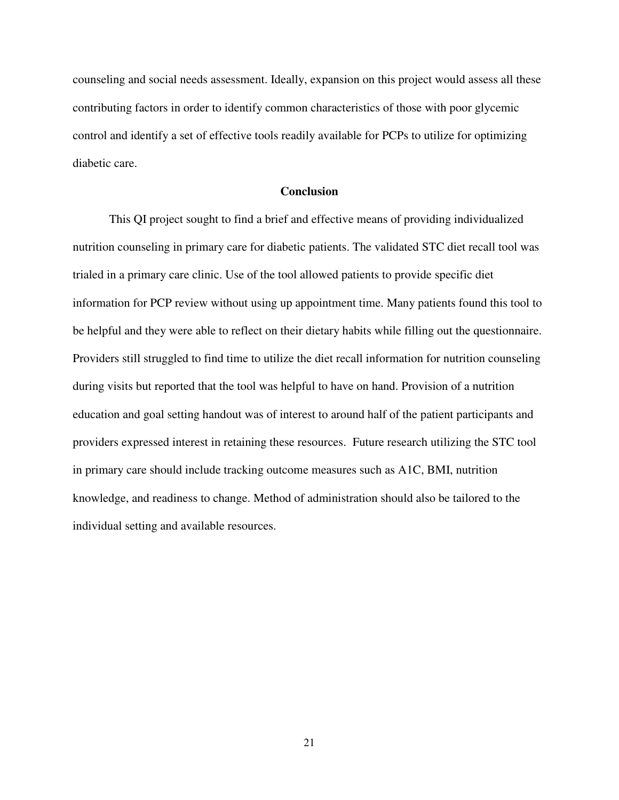counseling and social needs assessment. Ideally, expansion on this project would assess all these contributing factors in order to identify common characteristics of those with poor glycemic control and identify a set of effective tools readily available for PCPs to utilize for optimizing diabetic care.

#### **Conclusion**

<span id="page-21-0"></span> This QI project sought to find a brief and effective means of providing individualized nutrition counseling in primary care for diabetic patients. The validated STC diet recall tool was trialed in a primary care clinic. Use of the tool allowed patients to provide specific diet information for PCP review without using up appointment time. Many patients found this tool to be helpful and they were able to reflect on their dietary habits while filling out the questionnaire. Providers still struggled to find time to utilize the diet recall information for nutrition counseling during visits but reported that the tool was helpful to have on hand. Provision of a nutrition education and goal setting handout was of interest to around half of the patient participants and providers expressed interest in retaining these resources. Future research utilizing the STC tool in primary care should include tracking outcome measures such as A1C, BMI, nutrition knowledge, and readiness to change. Method of administration should also be tailored to the individual setting and available resources.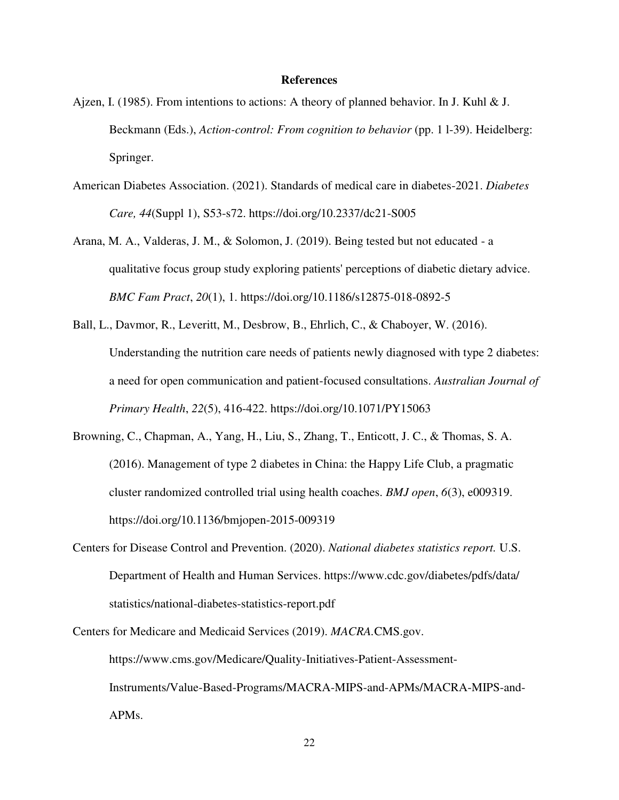#### **References**

- <span id="page-22-0"></span>Ajzen, I. (1985). From intentions to actions: A theory of planned behavior. In J. Kuhl  $&$  J. Beckmann (Eds.), *Action-control: From cognition to behavior* (pp. 1 l-39). Heidelberg: Springer.
- American Diabetes Association. (2021). Standards of medical care in diabetes-2021. *Diabetes Care, 44*(Suppl 1), S53-s72. https://doi.org/10.2337/dc21-S005
- Arana, M. A., Valderas, J. M., & Solomon, J. (2019). Being tested but not educated a qualitative focus group study exploring patients' perceptions of diabetic dietary advice. *BMC Fam Pract*, *20*(1), 1. https://doi.org/10.1186/s12875-018-0892-5
- Ball, L., Davmor, R., Leveritt, M., Desbrow, B., Ehrlich, C., & Chaboyer, W. (2016). Understanding the nutrition care needs of patients newly diagnosed with type 2 diabetes: a need for open communication and patient-focused consultations. *Australian Journal of Primary Health*, *22*(5), 416-422. https://doi.org/10.1071/PY15063
- Browning, C., Chapman, A., Yang, H., Liu, S., Zhang, T., Enticott, J. C., & Thomas, S. A. (2016). Management of type 2 diabetes in China: the Happy Life Club, a pragmatic cluster randomized controlled trial using health coaches. *BMJ open*, *6*(3), e009319. https://doi.org/10.1136/bmjopen-2015-009319
- Centers for Disease Control and Prevention. (2020). *National diabetes statistics report.* U.S. Department of Health and Human Services. https://www.cdc.gov/diabetes/pdfs/data/ statistics/national-diabetes-statistics-report.pdf
- Centers for Medicare and Medicaid Services (2019). *MACRA.*CMS.gov. https://www.cms.gov/Medicare/Quality-Initiatives-Patient-Assessment-Instruments/Value-Based-Programs/MACRA-MIPS-and-APMs/MACRA-MIPS-and-APMs.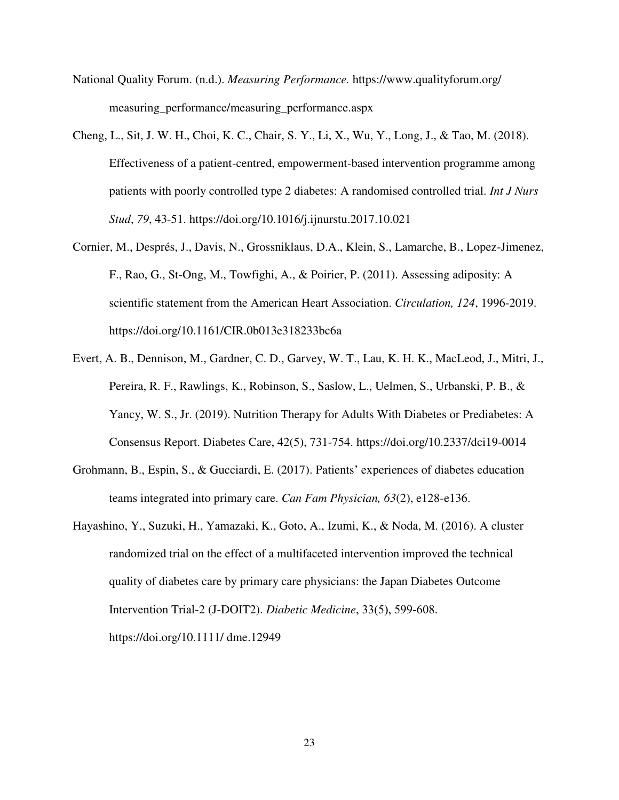- National Quality Forum. (n.d.). *Measuring Performance.* https://www.qualityforum.org/ measuring performance/measuring performance.aspx
- Cheng, L., Sit, J. W. H., Choi, K. C., Chair, S. Y., Li, X., Wu, Y., Long, J., & Tao, M. (2018). Effectiveness of a patient-centred, empowerment-based intervention programme among patients with poorly controlled type 2 diabetes: A randomised controlled trial. *Int J Nurs Stud*, *79*, 43-51. https://doi.org/10.1016/j.ijnurstu.2017.10.021
- Cornier, M., Després, J., Davis, N., Grossniklaus, D.A., Klein, S., Lamarche, B., Lopez-Jimenez, F., Rao, G., St-Ong, M., Towfighi, A., & Poirier, P. (2011). Assessing adiposity: A scientific statement from the American Heart Association. *Circulation, 124*, 1996-2019. https://doi.org/10.1161/CIR.0b013e318233bc6a
- Evert, A. B., Dennison, M., Gardner, C. D., Garvey, W. T., Lau, K. H. K., MacLeod, J., Mitri, J., Pereira, R. F., Rawlings, K., Robinson, S., Saslow, L., Uelmen, S., Urbanski, P. B., & Yancy, W. S., Jr. (2019). Nutrition Therapy for Adults With Diabetes or Prediabetes: A Consensus Report. Diabetes Care, 42(5), 731-754. https://doi.org/10.2337/dci19-0014
- Grohmann, B., Espin, S., & Gucciardi, E. (2017). Patients' experiences of diabetes education teams integrated into primary care. *Can Fam Physician, 63*(2), e128-e136.
- Hayashino, Y., Suzuki, H., Yamazaki, K., Goto, A., Izumi, K., & Noda, M. (2016). A cluster randomized trial on the effect of a multifaceted intervention improved the technical quality of diabetes care by primary care physicians: the Japan Diabetes Outcome Intervention Trial-2 (J-DOIT2). *Diabetic Medicine*, 33(5), 599‐608. https://doi.org/10.1111/ dme.12949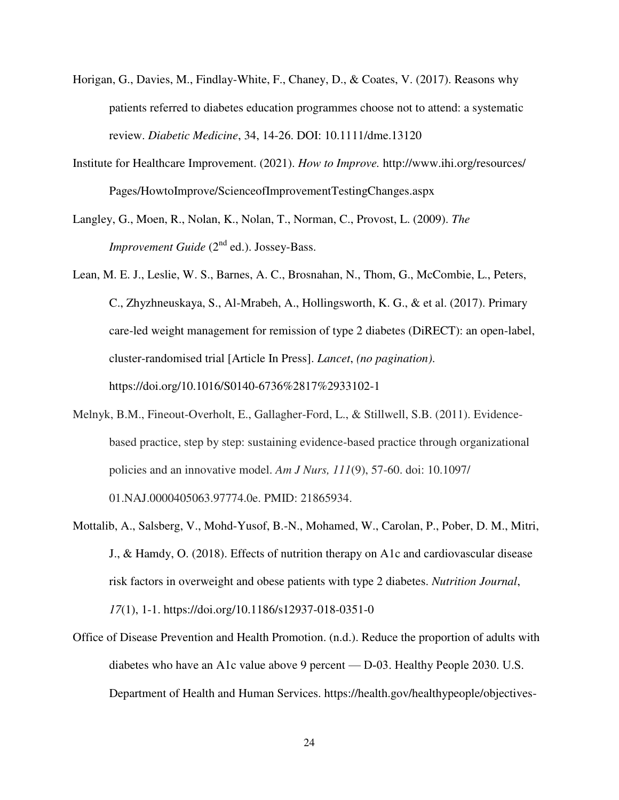- Horigan, G., Davies, M., Findlay-White, F., Chaney, D., & Coates, V. (2017). Reasons why patients referred to diabetes education programmes choose not to attend: a systematic review. *Diabetic Medicine*, 34, 14-26. DOI: 10.1111/dme.13120
- Institute for Healthcare Improvement. (2021). *How to Improve.* http://www.ihi.org/resources/ Pages/HowtoImprove/ScienceofImprovementTestingChanges.aspx
- Langley, G., Moen, R., Nolan, K., Nolan, T., Norman, C., Provost, L. (2009). *The Improvement Guide* (2<sup>nd</sup> ed.). Jossey-Bass.
- Lean, M. E. J., Leslie, W. S., Barnes, A. C., Brosnahan, N., Thom, G., McCombie, L., Peters, C., Zhyzhneuskaya, S., Al-Mrabeh, A., Hollingsworth, K. G., & et al. (2017). Primary care-led weight management for remission of type 2 diabetes (DiRECT): an open-label, cluster-randomised trial [Article In Press]. *Lancet*, *(no pagination)*. https://doi.org/10.1016/S0140-6736%2817%2933102-1
- Melnyk, B.M., Fineout-Overholt, E., Gallagher-Ford, L., & Stillwell, S.B. (2011). Evidencebased practice, step by step: sustaining evidence-based practice through organizational policies and an innovative model. *Am J Nurs, 111*(9), 57-60. doi: 10.1097/ 01.NAJ.0000405063.97774.0e. PMID: 21865934.
- Mottalib, A., Salsberg, V., Mohd-Yusof, B.-N., Mohamed, W., Carolan, P., Pober, D. M., Mitri, J., & Hamdy, O. (2018). Effects of nutrition therapy on A1c and cardiovascular disease risk factors in overweight and obese patients with type 2 diabetes. *Nutrition Journal*, *17*(1), 1-1. https://doi.org/10.1186/s12937-018-0351-0
- Office of Disease Prevention and Health Promotion. (n.d.). Reduce the proportion of adults with diabetes who have an A1c value above 9 percent — D‑03. Healthy People 2030. U.S. Department of Health and Human Services. https://health.gov/healthypeople/objectives-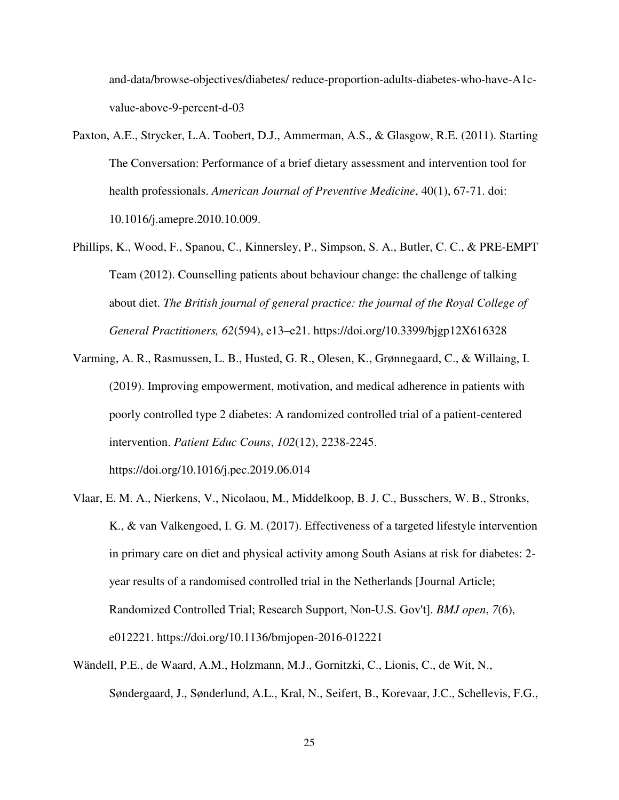and-data/browse-objectives/diabetes/ reduce-proportion-adults-diabetes-who-have-A1cvalue-above-9-percent-d-03

- Paxton, A.E., Strycker, L.A. Toobert, D.J., Ammerman, A.S., & Glasgow, R.E. (2011). Starting The Conversation: Performance of a brief dietary assessment and intervention tool for health professionals. *American Journal of Preventive Medicine*, 40(1), 67-71. doi: 10.1016/j.amepre.2010.10.009.
- Phillips, K., Wood, F., Spanou, C., Kinnersley, P., Simpson, S. A., Butler, C. C., & PRE-EMPT Team (2012). Counselling patients about behaviour change: the challenge of talking about diet. *The British journal of general practice: the journal of the Royal College of General Practitioners, 62*(594), e13–e21. https://doi.org/10.3399/bjgp12X616328
- Varming, A. R., Rasmussen, L. B., Husted, G. R., Olesen, K., Grønnegaard, C., & Willaing, I. (2019). Improving empowerment, motivation, and medical adherence in patients with poorly controlled type 2 diabetes: A randomized controlled trial of a patient-centered intervention. *Patient Educ Couns*, *102*(12), 2238-2245. https://doi.org/10.1016/j.pec.2019.06.014
- Vlaar, E. M. A., Nierkens, V., Nicolaou, M., Middelkoop, B. J. C., Busschers, W. B., Stronks, K., & van Valkengoed, I. G. M. (2017). Effectiveness of a targeted lifestyle intervention in primary care on diet and physical activity among South Asians at risk for diabetes: 2 year results of a randomised controlled trial in the Netherlands [Journal Article; Randomized Controlled Trial; Research Support, Non‐U.S. Gov't]. *BMJ open*, *7*(6), e012221. https://doi.org/10.1136/bmjopen-2016-012221
- Wändell, P.E., de Waard, A.M., Holzmann, M.J., Gornitzki, C., Lionis, C., de Wit, N., Søndergaard, J., Sønderlund, A.L., Kral, N., Seifert, B., Korevaar, J.C., Schellevis, F.G.,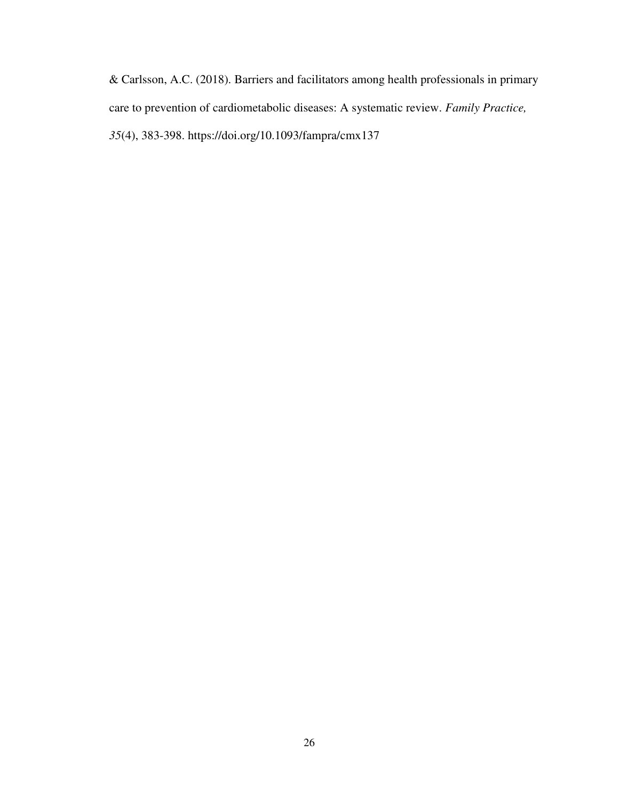& Carlsson, A.C. (2018). Barriers and facilitators among health professionals in primary care to prevention of cardiometabolic diseases: A systematic review. *Family Practice, 35*(4), 383-398. https://doi.org/10.1093/fampra/cmx137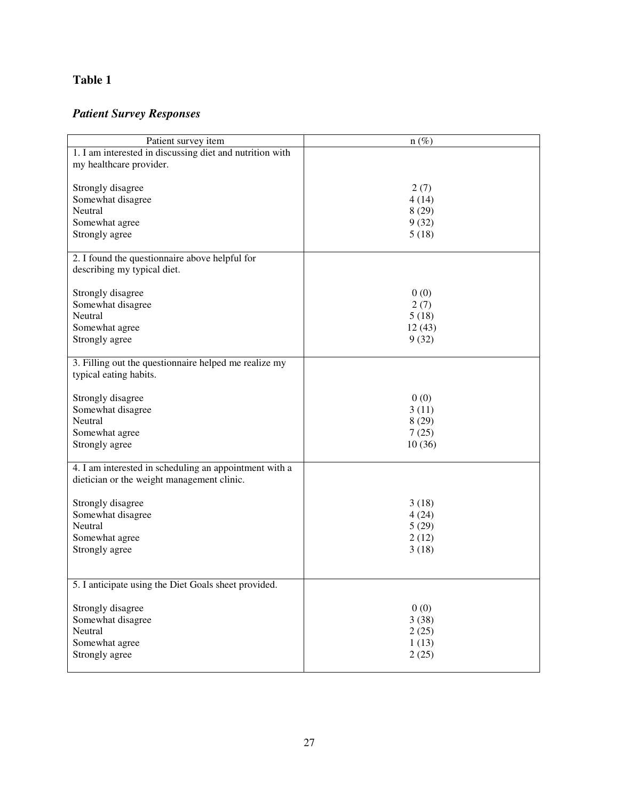# <span id="page-27-0"></span>*Patient Survey Responses*

| Patient survey item                                                                                  | $n(\%)$ |
|------------------------------------------------------------------------------------------------------|---------|
| 1. I am interested in discussing diet and nutrition with                                             |         |
| my healthcare provider.                                                                              |         |
|                                                                                                      |         |
| Strongly disagree                                                                                    | 2(7)    |
| Somewhat disagree                                                                                    | 4(14)   |
| Neutral                                                                                              | 8(29)   |
| Somewhat agree                                                                                       | 9(32)   |
| Strongly agree                                                                                       | 5(18)   |
|                                                                                                      |         |
| 2. I found the questionnaire above helpful for                                                       |         |
| describing my typical diet.                                                                          |         |
|                                                                                                      |         |
| Strongly disagree                                                                                    | 0(0)    |
| Somewhat disagree                                                                                    | 2(7)    |
| Neutral                                                                                              | 5(18)   |
| Somewhat agree                                                                                       | 12(43)  |
| Strongly agree                                                                                       | 9(32)   |
|                                                                                                      |         |
| 3. Filling out the questionnaire helped me realize my                                                |         |
| typical eating habits.                                                                               |         |
|                                                                                                      |         |
| Strongly disagree                                                                                    | 0(0)    |
| Somewhat disagree                                                                                    | 3(11)   |
| Neutral                                                                                              | 8(29)   |
| Somewhat agree                                                                                       | 7(25)   |
| Strongly agree                                                                                       | 10(36)  |
|                                                                                                      |         |
| 4. I am interested in scheduling an appointment with a<br>dietician or the weight management clinic. |         |
|                                                                                                      |         |
| Strongly disagree                                                                                    | 3(18)   |
| Somewhat disagree                                                                                    | 4(24)   |
| Neutral                                                                                              | 5(29)   |
| Somewhat agree                                                                                       | 2(12)   |
| Strongly agree                                                                                       | 3(18)   |
|                                                                                                      |         |
|                                                                                                      |         |
| 5. I anticipate using the Diet Goals sheet provided.                                                 |         |
|                                                                                                      |         |
| Strongly disagree                                                                                    | 0(0)    |
| Somewhat disagree                                                                                    | 3(38)   |
| Neutral                                                                                              | 2(25)   |
| Somewhat agree                                                                                       | 1(13)   |
| Strongly agree                                                                                       | 2(25)   |
|                                                                                                      |         |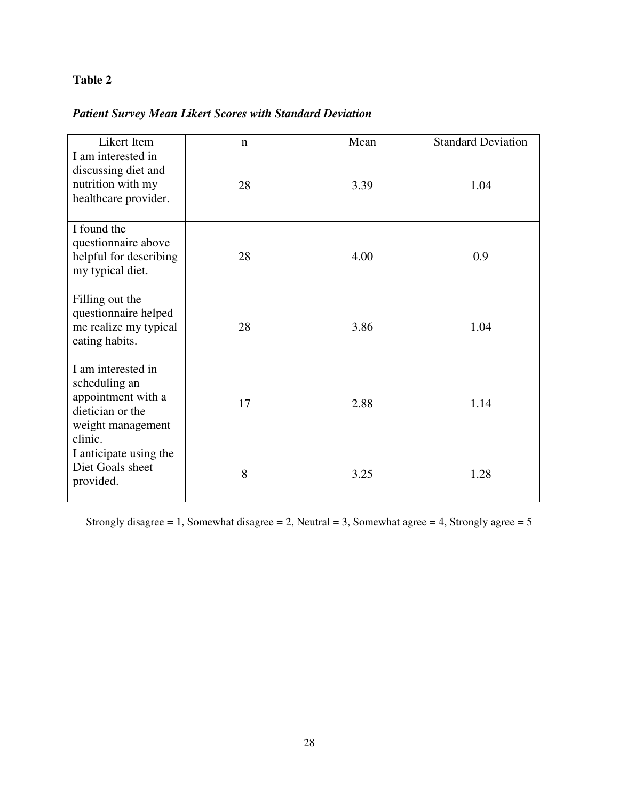# <span id="page-28-0"></span>*Patient Survey Mean Likert Scores with Standard Deviation*

| Likert Item                                                                                                   | n  | Mean | <b>Standard Deviation</b> |
|---------------------------------------------------------------------------------------------------------------|----|------|---------------------------|
| $\overline{I}$ am interested in<br>discussing diet and<br>nutrition with my<br>healthcare provider.           | 28 | 3.39 | 1.04                      |
| I found the<br>questionnaire above<br>helpful for describing<br>my typical diet.                              | 28 | 4.00 | 0.9                       |
| Filling out the<br>questionnaire helped<br>me realize my typical<br>eating habits.                            | 28 | 3.86 | 1.04                      |
| I am interested in<br>scheduling an<br>appointment with a<br>dietician or the<br>weight management<br>clinic. | 17 | 2.88 | 1.14                      |
| I anticipate using the<br>Diet Goals sheet<br>provided.                                                       | 8  | 3.25 | 1.28                      |

Strongly disagree = 1, Somewhat disagree = 2, Neutral = 3, Somewhat agree = 4, Strongly agree =  $5$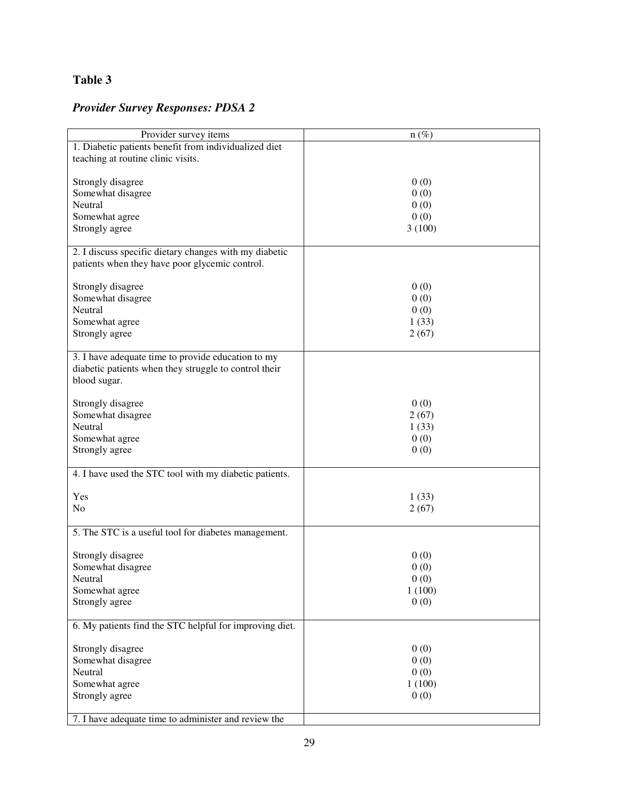# <span id="page-29-0"></span>*Provider Survey Responses: PDSA 2*

| Provider survey items                                   | $n (\%)$ |
|---------------------------------------------------------|----------|
| 1. Diabetic patients benefit from individualized diet   |          |
| teaching at routine clinic visits.                      |          |
|                                                         |          |
| Strongly disagree                                       | 0(0)     |
|                                                         |          |
| Somewhat disagree                                       | 0(0)     |
| Neutral                                                 | 0(0)     |
| Somewhat agree                                          | 0(0)     |
| Strongly agree                                          | 3(100)   |
|                                                         |          |
| 2. I discuss specific dietary changes with my diabetic  |          |
| patients when they have poor glycemic control.          |          |
|                                                         |          |
| Strongly disagree                                       | 0(0)     |
| Somewhat disagree                                       | 0(0)     |
| Neutral                                                 | 0(0)     |
| Somewhat agree                                          | 1(33)    |
|                                                         |          |
| Strongly agree                                          | 2(67)    |
|                                                         |          |
| 3. I have adequate time to provide education to my      |          |
| diabetic patients when they struggle to control their   |          |
| blood sugar.                                            |          |
|                                                         |          |
| Strongly disagree                                       | 0(0)     |
| Somewhat disagree                                       | 2(67)    |
| Neutral                                                 | 1(33)    |
| Somewhat agree                                          | 0(0)     |
| Strongly agree                                          | 0(0)     |
|                                                         |          |
|                                                         |          |
| 4. I have used the STC tool with my diabetic patients.  |          |
|                                                         |          |
| Yes                                                     | 1(33)    |
| N <sub>o</sub>                                          | 2(67)    |
|                                                         |          |
| 5. The STC is a useful tool for diabetes management.    |          |
|                                                         |          |
| Strongly disagree                                       | 0(0)     |
| Somewhat disagree                                       | 0(0)     |
| Neutral                                                 | 0(0)     |
| Somewhat agree                                          | 1(100)   |
| Strongly agree                                          | 0(0)     |
|                                                         |          |
|                                                         |          |
| 6. My patients find the STC helpful for improving diet. |          |
|                                                         |          |
| Strongly disagree                                       | 0(0)     |
| Somewhat disagree                                       | 0(0)     |
| Neutral                                                 | 0(0)     |
| Somewhat agree                                          | 1(100)   |
| Strongly agree                                          | 0(0)     |
|                                                         |          |
| 7. I have adequate time to administer and review the    |          |
|                                                         |          |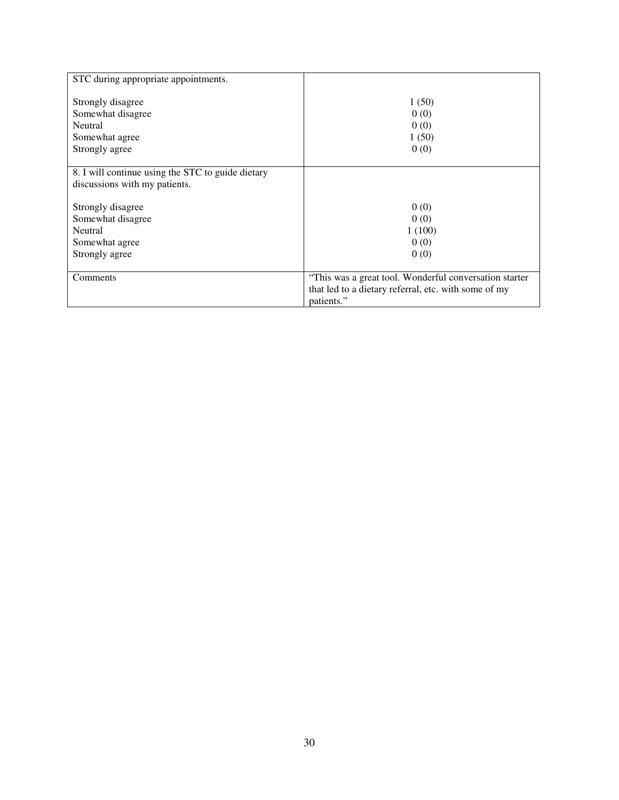| STC during appropriate appointments.                                                  |                                                                                                                              |
|---------------------------------------------------------------------------------------|------------------------------------------------------------------------------------------------------------------------------|
| Strongly disagree<br>Somewhat disagree<br>Neutral<br>Somewhat agree<br>Strongly agree | 1(50)<br>0(0)<br>0(0)<br>1(50)<br>0(0)                                                                                       |
| 8. I will continue using the STC to guide dietary                                     |                                                                                                                              |
| discussions with my patients.                                                         |                                                                                                                              |
| Strongly disagree<br>Somewhat disagree<br>Neutral<br>Somewhat agree<br>Strongly agree | 0(0)<br>0(0)<br>1(100)<br>0(0)<br>0(0)                                                                                       |
| Comments                                                                              | "This was a great tool. Wonderful conversation starter<br>that led to a dietary referral, etc. with some of my<br>patients." |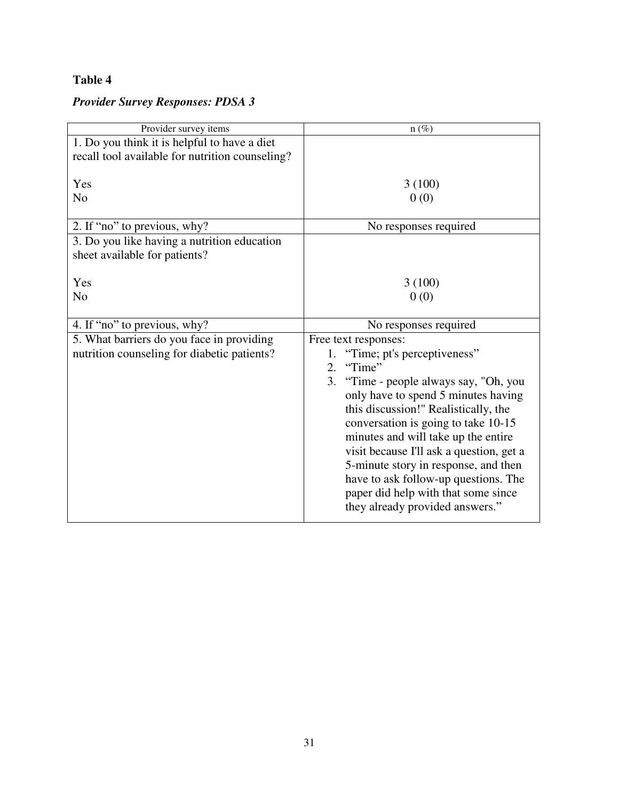# <span id="page-31-0"></span>*Provider Survey Responses: PDSA 3*

| Provider survey items                           | $n(\%)$                                   |
|-------------------------------------------------|-------------------------------------------|
| 1. Do you think it is helpful to have a diet    |                                           |
| recall tool available for nutrition counseling? |                                           |
|                                                 |                                           |
| Yes                                             | 3(100)                                    |
| N <sub>o</sub>                                  | 0(0)                                      |
|                                                 |                                           |
| 2. If "no" to previous, why?                    | No responses required                     |
| 3. Do you like having a nutrition education     |                                           |
| sheet available for patients?                   |                                           |
|                                                 |                                           |
| Yes                                             | 3(100)                                    |
| N <sub>o</sub>                                  | 0(0)                                      |
|                                                 |                                           |
|                                                 |                                           |
| 4. If "no" to previous, why?                    | No responses required                     |
| 5. What barriers do you face in providing       | Free text responses:                      |
| nutrition counseling for diabetic patients?     | "Time; pt's perceptiveness"<br>1.         |
|                                                 | "Time"<br>2.                              |
|                                                 | 3.<br>"Time - people always say, "Oh, you |
|                                                 | only have to spend 5 minutes having       |
|                                                 | this discussion!" Realistically, the      |
|                                                 | conversation is going to take 10-15       |
|                                                 | minutes and will take up the entire       |
|                                                 | visit because I'll ask a question, get a  |
|                                                 | 5-minute story in response, and then      |
|                                                 | have to ask follow-up questions. The      |
|                                                 | paper did help with that some since       |
|                                                 | they already provided answers."           |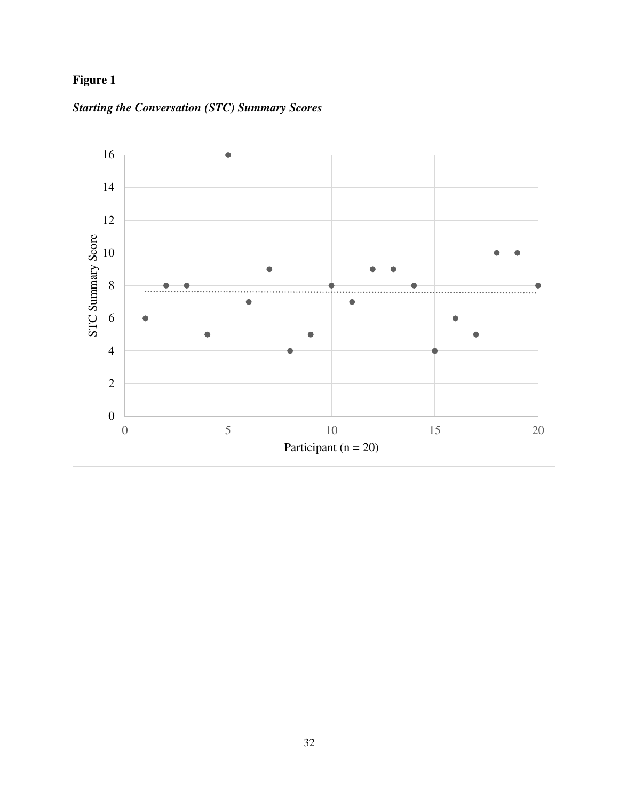# <span id="page-32-0"></span>**Figure 1**



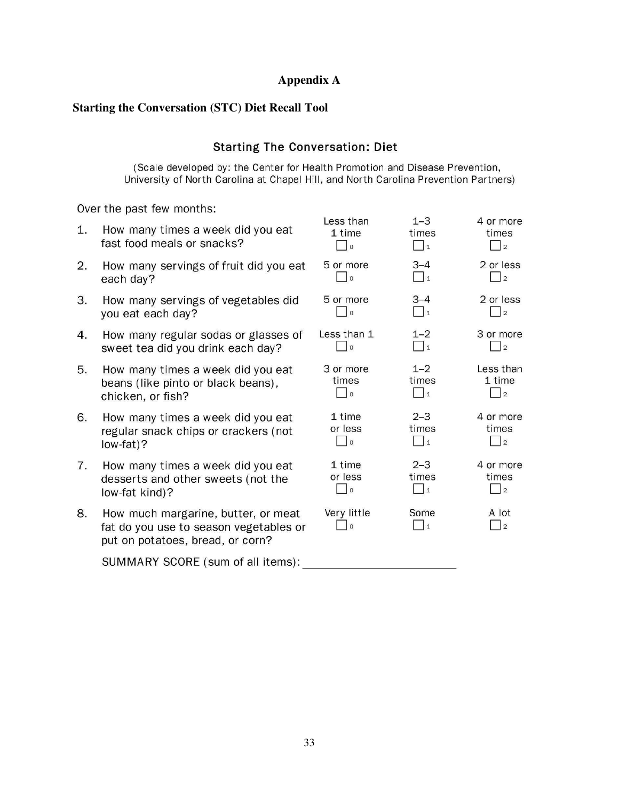## **Appendix A**

## <span id="page-33-0"></span>**Starting the Conversation (STC) Diet Recall Tool**

## **Starting The Conversation: Diet**

(Scale developed by: the Center for Health Promotion and Disease Prevention, University of North Carolina at Chapel Hill, and North Carolina Prevention Partners)

Over the past few months:

| 1. | How many times a week did you eat<br>fast food meals or snacks?                                                   | Less than<br>1 time<br>$\vert$ 0 | $1 - 3$<br>times<br>$\Box$ 1 | 4 or more<br>times<br>$\vert$ 2         |
|----|-------------------------------------------------------------------------------------------------------------------|----------------------------------|------------------------------|-----------------------------------------|
| 2. | How many servings of fruit did you eat                                                                            | 5 or more                        | $3 - 4$                      | 2 or less                               |
|    | each day?                                                                                                         | $\overline{0}$                   | $\vert$ 1                    | $\vert$ 2                               |
| 3. | How many servings of vegetables did                                                                               | 5 or more                        | $3 - 4$                      | 2 or less                               |
|    | you eat each day?                                                                                                 | $\circ$                          | $\Box$ 1                     | $\vert$ 2                               |
| 4. | How many regular sodas or glasses of                                                                              | Less than 1                      | $1 - 2$                      | 3 or more                               |
|    | sweet tea did you drink each day?                                                                                 | $\vert$ 0                        | $\vert$ 1                    | $\vert$ 2                               |
| 5. | How many times a week did you eat                                                                                 | 3 or more                        | $1 - 2$                      | Less than                               |
|    | beans (like pinto or black beans),                                                                                | times                            | times                        | 1 time                                  |
|    | chicken, or fish?                                                                                                 | $\overline{\phantom{a}}$         | $\Box$ 1                     | $\vert$   2                             |
| 6. | How many times a week did you eat                                                                                 | 1 time                           | $2 - 3$                      | 4 or more                               |
|    | regular snack chips or crackers (not                                                                              | or less                          | times                        | times                                   |
|    | low-fat)?                                                                                                         | $\vert$ 0                        | $\Box$ 1                     | $\vert$   2                             |
| 7. | How many times a week did you eat                                                                                 | 1 time                           | $2 - 3$                      | 4 or more                               |
|    | desserts and other sweets (not the                                                                                | or less                          | times                        | times                                   |
|    | low-fat kind)?                                                                                                    | $\vert$ 0                        | $\vert$ 1                    |                                         |
| 8. | How much margarine, butter, or meat<br>fat do you use to season vegetables or<br>put on potatoes, bread, or corn? | Very little<br>$\Omega$          | Some<br>$\overline{1}$       | A lot<br>$\begin{array}{c} \end{array}$ |
|    | SUMMARY SCORE (sum of all items):                                                                                 |                                  |                              |                                         |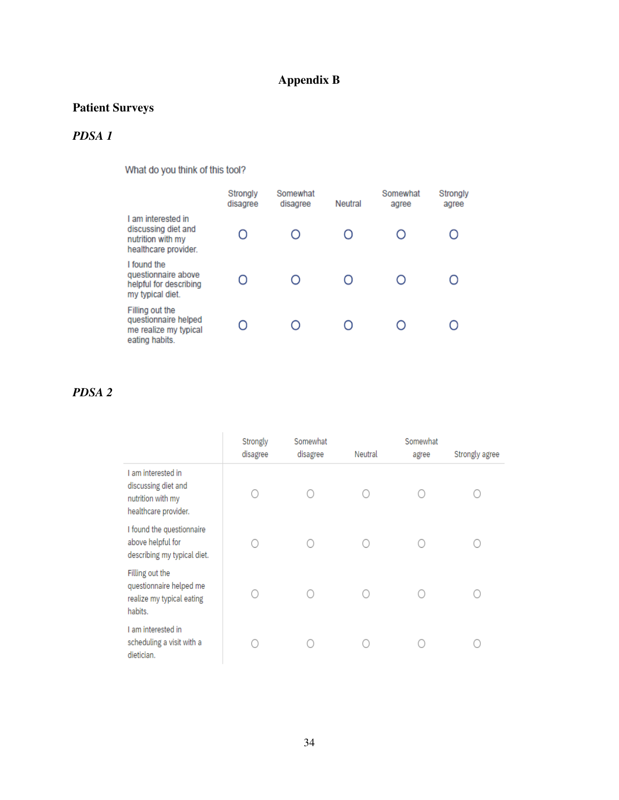# **Appendix B**

# <span id="page-34-0"></span>**Patient Surveys**

# *PDSA 1*

What do you think of this tool?

|                                                                                        | Strongly<br>disagree | Somewhat<br>disagree | Neutral | Somewhat<br>agree | Strongly<br>agree |
|----------------------------------------------------------------------------------------|----------------------|----------------------|---------|-------------------|-------------------|
| I am interested in<br>discussing diet and<br>nutrition with my<br>healthcare provider. |                      |                      |         |                   |                   |
| I found the<br>questionnaire above<br>helpful for describing<br>my typical diet.       |                      |                      |         |                   |                   |
| Filling out the<br>questionnaire helped<br>me realize my typical<br>eating habits.     |                      |                      |         |                   |                   |

# *PDSA 2*

|                                                                                        | Strongly<br>disagree | Somewhat<br>disagree | Neutral | Somewhat<br>agree | Strongly agree |
|----------------------------------------------------------------------------------------|----------------------|----------------------|---------|-------------------|----------------|
| I am interested in<br>discussing diet and<br>nutrition with my<br>healthcare provider. |                      |                      |         |                   |                |
| I found the questionnaire<br>above helpful for<br>describing my typical diet.          |                      |                      |         |                   |                |
| Filling out the<br>questionnaire helped me<br>realize my typical eating<br>habits.     |                      |                      |         |                   |                |
| I am interested in<br>scheduling a visit with a<br>dietician.                          |                      |                      |         |                   |                |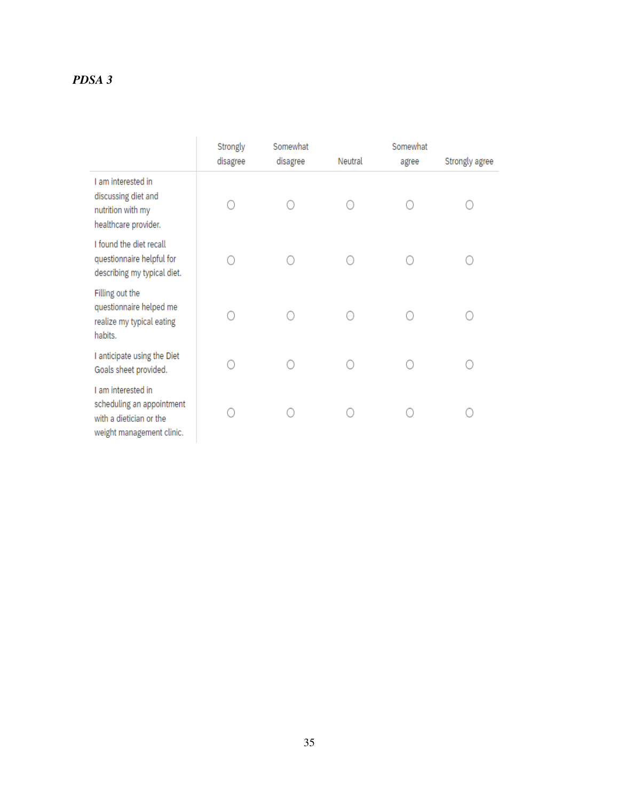# *PDSA 3*

|                                                                                                         | Strongly<br>disagree | Somewhat<br>disagree | Neutral | Somewhat<br>agree | Strongly agree |
|---------------------------------------------------------------------------------------------------------|----------------------|----------------------|---------|-------------------|----------------|
| I am interested in<br>discussing diet and<br>nutrition with my<br>healthcare provider.                  |                      |                      |         |                   |                |
| I found the diet recall<br>questionnaire helpful for<br>describing my typical diet.                     |                      |                      |         |                   |                |
| Filling out the<br>questionnaire helped me<br>realize my typical eating<br>habits.                      |                      |                      |         |                   |                |
| I anticipate using the Diet<br>Goals sheet provided.                                                    |                      |                      |         |                   |                |
| I am interested in<br>scheduling an appointment<br>with a dietician or the<br>weight management clinic. |                      |                      |         |                   |                |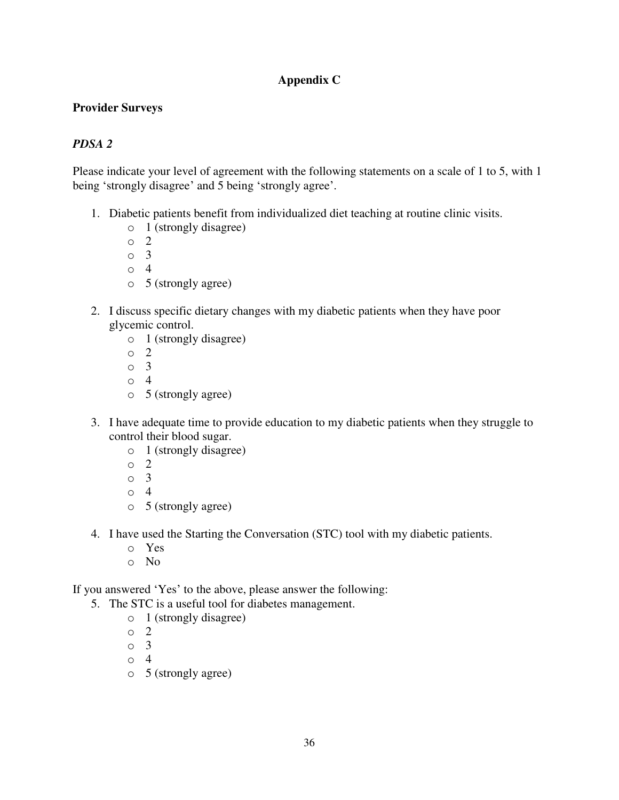## **Appendix C**

### <span id="page-36-0"></span>**Provider Surveys**

## *PDSA 2*

Please indicate your level of agreement with the following statements on a scale of 1 to 5, with 1 being 'strongly disagree' and 5 being 'strongly agree'.

- 1. Diabetic patients benefit from individualized diet teaching at routine clinic visits.
	- o 1 (strongly disagree)
	- o 2
	- o 3
	- o 4
	- o 5 (strongly agree)
- 2. I discuss specific dietary changes with my diabetic patients when they have poor glycemic control.
	- o 1 (strongly disagree)
	- o 2
	- o 3
	- o 4
	- o 5 (strongly agree)
- 3. I have adequate time to provide education to my diabetic patients when they struggle to control their blood sugar.
	- o 1 (strongly disagree)
	- o 2
	- $\circ$  3
	- o 4
	- o 5 (strongly agree)
- 4. I have used the Starting the Conversation (STC) tool with my diabetic patients.
	- o Yes
	- o No

If you answered 'Yes' to the above, please answer the following:

- 5. The STC is a useful tool for diabetes management.
	- o 1 (strongly disagree)
	- o 2
	- o 3
	- o 4
	- o 5 (strongly agree)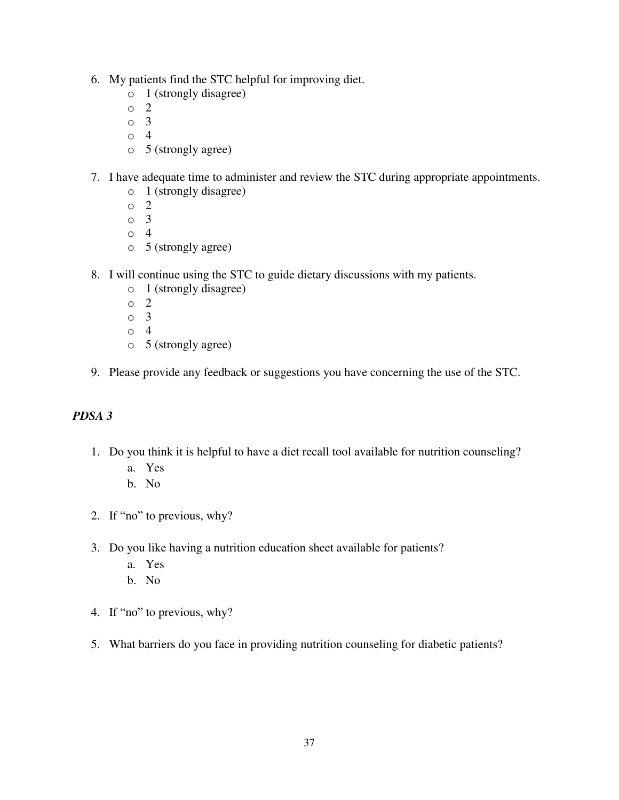- 6. My patients find the STC helpful for improving diet.
	- o 1 (strongly disagree)
	- o 2
	- o 3
	- o 4
	- o 5 (strongly agree)
- 7. I have adequate time to administer and review the STC during appropriate appointments.
	- o 1 (strongly disagree)
	- o 2
	- o 3
	- o 4
	- o 5 (strongly agree)
- 8. I will continue using the STC to guide dietary discussions with my patients.
	- o 1 (strongly disagree)
	- o 2
	- o 3
	- o 4
	- o 5 (strongly agree)
- 9. Please provide any feedback or suggestions you have concerning the use of the STC.

### *PDSA 3*

- 1. Do you think it is helpful to have a diet recall tool available for nutrition counseling?
	- a. Yes
	- b. No
- 2. If "no" to previous, why?
- 3. Do you like having a nutrition education sheet available for patients?
	- a. Yes
	- b. No
- 4. If "no" to previous, why?
- 5. What barriers do you face in providing nutrition counseling for diabetic patients?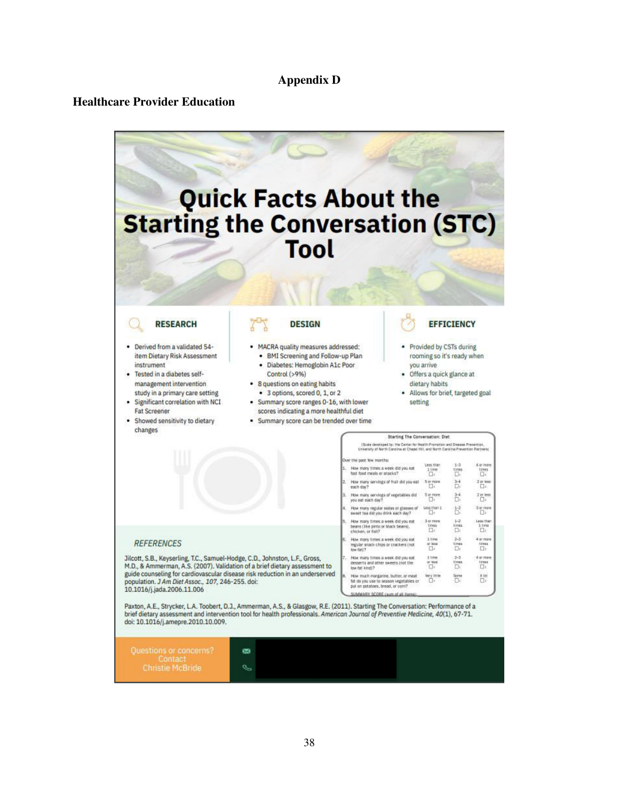### **Appendix D**

### <span id="page-38-0"></span>**Healthcare Provider Education**

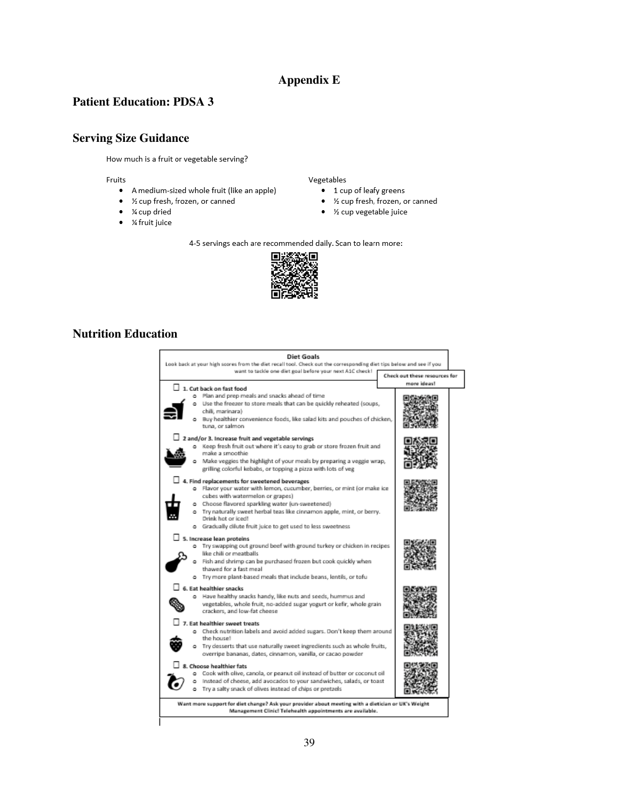### **Appendix E**

### <span id="page-39-0"></span>**Patient Education: PDSA 3**

### **Serving Size Guidance**

How much is a fruit or vegetable serving?

Fruits

- A medium-sized whole fruit (like an apple)
- ½ cup fresh, frozen, or canned
- ¼ cup dried
- ¼ fruit juice

Vegetables

- 1 cup of leafy greens
- 1/2 cup fresh, frozen, or canned
- $\bullet$ 1/2 cup vegetable juice

4-5 servings each are recommended daily. Scan to learn more:



### **Nutrition Education**